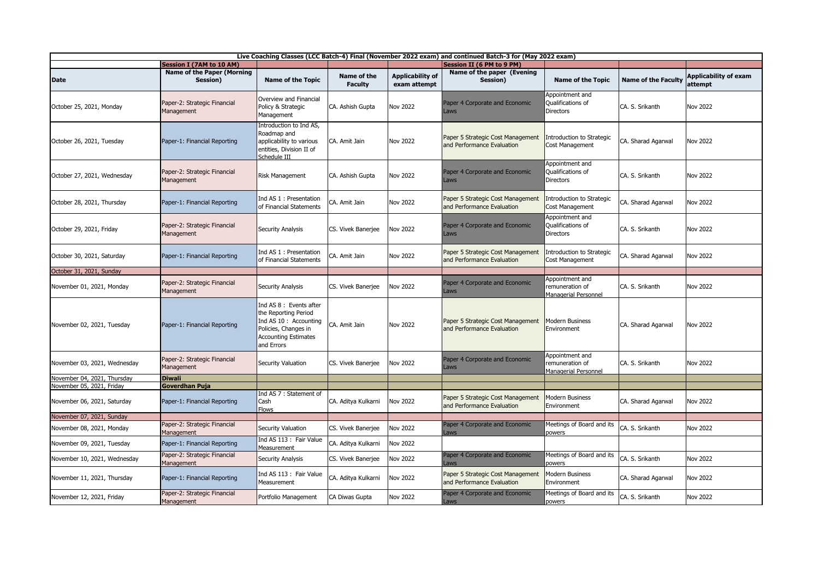| Live Coaching Classes (LCC Batch-4) Final (November 2022 exam) and continued Batch-3 for (May 2022 exam) |                                                       |                                                                                                                                                |                               |                                         |                                                                 |                                                            |                            |                                         |  |  |
|----------------------------------------------------------------------------------------------------------|-------------------------------------------------------|------------------------------------------------------------------------------------------------------------------------------------------------|-------------------------------|-----------------------------------------|-----------------------------------------------------------------|------------------------------------------------------------|----------------------------|-----------------------------------------|--|--|
|                                                                                                          | <b>Session I (7AM to 10 AM)</b>                       |                                                                                                                                                |                               |                                         | Session II (6 PM to 9 PM)                                       |                                                            |                            |                                         |  |  |
| <b>Date</b>                                                                                              | <b>Name of the Paper (Morning</b><br>Session)         | <b>Name of the Topic</b>                                                                                                                       | Name of the<br><b>Faculty</b> | <b>Applicability of</b><br>exam attempt | Name of the paper (Evening<br>Session)                          | <b>Name of the Topic</b>                                   | <b>Name of the Faculty</b> | <b>Applicability of exam</b><br>attempt |  |  |
| October 25, 2021, Monday                                                                                 | Paper-2: Strategic Financial<br>Management            | Overview and Financial<br>Policy & Strategic<br>Management                                                                                     | CA. Ashish Gupta              | Nov 2022                                | Paper 4 Corporate and Economic<br><b>Laws</b>                   | Appointment and<br>Qualifications of<br><b>Directors</b>   | CA. S. Srikanth            | Nov 2022                                |  |  |
| October 26, 2021, Tuesday                                                                                | Paper-1: Financial Reporting                          | Introduction to Ind AS,<br>Roadmap and<br>applicability to various<br>entities, Division II of<br>Schedule III                                 | CA. Amit Jain                 | <b>Nov 2022</b>                         | Paper 5 Strategic Cost Management<br>and Performance Evaluation | Introduction to Strategic<br>Cost Management               | CA. Sharad Agarwal         | <b>Nov 2022</b>                         |  |  |
| October 27, 2021, Wednesday                                                                              | Paper-2: Strategic Financial<br>Management            | Risk Management                                                                                                                                | CA. Ashish Gupta              | <b>Nov 2022</b>                         | Paper 4 Corporate and Economic<br>Laws                          | Appointment and<br>Qualifications of<br><b>Directors</b>   | CA. S. Srikanth            | Nov 2022                                |  |  |
| October 28, 2021, Thursday                                                                               | Paper-1: Financial Reporting                          | Ind AS 1 : Presentation<br>of Financial Statements                                                                                             | CA. Amit Jain                 | Nov 2022                                | Paper 5 Strategic Cost Management<br>and Performance Evaluation | Introduction to Strategic<br>Cost Management               | CA. Sharad Agarwal         | Nov 2022                                |  |  |
| October 29, 2021, Friday                                                                                 | Paper-2: Strategic Financial<br>Management            | <b>Security Analysis</b>                                                                                                                       | CS. Vivek Banerjee            | Nov 2022                                | Paper 4 Corporate and Economic<br>Laws                          | Appointment and<br>Qualifications of<br><b>Directors</b>   | CA. S. Srikanth            | Nov 2022                                |  |  |
| October 30, 2021, Saturday                                                                               | Paper-1: Financial Reporting                          | Ind AS 1 : Presentation<br>of Financial Statements                                                                                             | CA. Amit Jain                 | <b>Nov 2022</b>                         | Paper 5 Strategic Cost Management<br>and Performance Evaluation | ntroduction to Strategic<br>Cost Management                | CA. Sharad Agarwal         | Nov 2022                                |  |  |
| October 31, 2021, Sunday                                                                                 |                                                       |                                                                                                                                                |                               |                                         |                                                                 |                                                            |                            |                                         |  |  |
| November 01, 2021, Monday                                                                                | Paper-2: Strategic Financial<br>Management            | Security Analysis                                                                                                                              | CS. Vivek Banerjee            | Nov 2022                                | Paper 4 Corporate and Economic<br><b>Laws</b>                   | Appointment and<br>remuneration of<br>Managerial Personnel | CA. S. Srikanth            | Nov 2022                                |  |  |
| November 02, 2021, Tuesday                                                                               | Paper-1: Financial Reporting                          | Ind AS 8 : Events after<br>the Reporting Period<br>Ind AS 10 : Accounting<br>Policies, Changes in<br><b>Accounting Estimates</b><br>and Errors | CA. Amit Jain                 | Nov 2022                                | Paper 5 Strategic Cost Management<br>and Performance Evaluation | <b>Modern Business</b><br>Environment                      | CA. Sharad Agarwal         | Nov 2022                                |  |  |
| November 03, 2021, Wednesday                                                                             | Paper-2: Strategic Financial<br>Management            | Security Valuation                                                                                                                             | CS. Vivek Banerjee            | Nov 2022                                | Paper 4 Corporate and Economic<br>Laws                          | Appointment and<br>remuneration of<br>Managerial Personnel | CA. S. Srikanth            | Nov 2022                                |  |  |
| November 04, 2021, Thursday                                                                              | <b>Diwali</b>                                         |                                                                                                                                                |                               |                                         |                                                                 |                                                            |                            |                                         |  |  |
| November 05, 2021, Friday<br>November 06, 2021, Saturday                                                 | <b>Goverdhan Puja</b><br>Paper-1: Financial Reporting | Ind AS 7: Statement of<br>Cash<br><b>Flows</b>                                                                                                 | CA. Aditya Kulkarni           | Nov 2022                                | Paper 5 Strategic Cost Management<br>and Performance Evaluation | <b>Modern Business</b><br>Environment                      | CA. Sharad Agarwal         | Nov 2022                                |  |  |
| November 07, 2021, Sunday                                                                                |                                                       |                                                                                                                                                |                               |                                         |                                                                 |                                                            |                            |                                         |  |  |
| November 08, 2021, Monday                                                                                | Paper-2: Strategic Financial<br>Management            | Security Valuation                                                                                                                             | CS. Vivek Banerjee            | <b>Nov 2022</b>                         | Paper 4 Corporate and Economic<br>aws                           | Meetings of Board and its<br>powers                        | CA. S. Srikanth            | Nov 2022                                |  |  |
| November 09, 2021, Tuesday                                                                               | Paper-1: Financial Reporting                          | Ind AS 113 : Fair Value<br>Measurement                                                                                                         | CA. Aditya Kulkarni           | <b>Nov 2022</b>                         |                                                                 |                                                            |                            |                                         |  |  |
| November 10, 2021, Wednesday                                                                             | Paper-2: Strategic Financial<br>Management            | Security Analysis                                                                                                                              | CS. Vivek Banerjee            | Nov 2022                                | Paper 4 Corporate and Economic<br>aws                           | Meetings of Board and its<br>powers                        | CA. S. Srikanth            | Nov 2022                                |  |  |
| November 11, 2021, Thursday                                                                              | Paper-1: Financial Reporting                          | Ind AS 113 : Fair Value<br>Measurement                                                                                                         | CA. Aditya Kulkarni           | Nov 2022                                | Paper 5 Strategic Cost Management<br>and Performance Evaluation | Modern Business<br>Environment                             | CA. Sharad Agarwal         | Nov 2022                                |  |  |
| November 12, 2021, Friday                                                                                | Paper-2: Strategic Financial<br>Management            | Portfolio Management                                                                                                                           | CA Diwas Gupta                | Nov 2022                                | Paper 4 Corporate and Economic<br>.aws                          | Meetings of Board and its<br>powers                        | CA. S. Srikanth            | Nov 2022                                |  |  |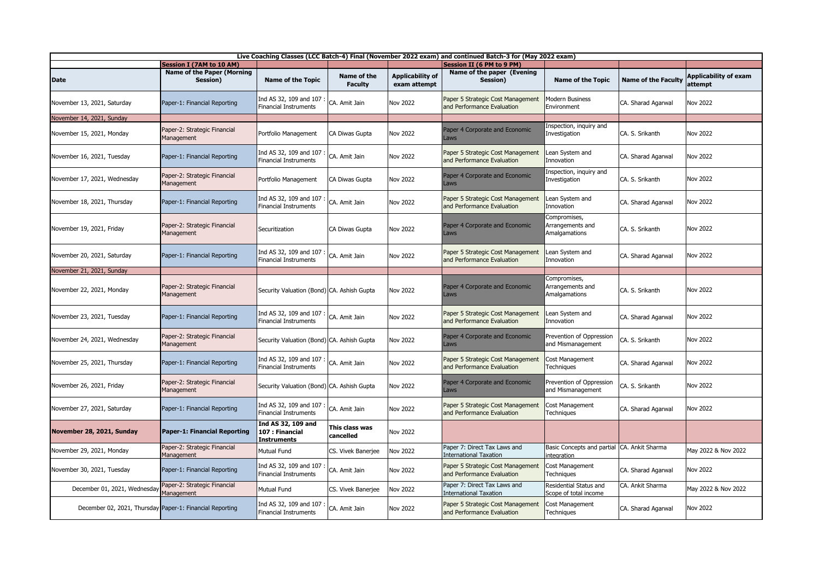| Live Coaching Classes (LCC Batch-4) Final (November 2022 exam) and continued Batch-3 for (May 2022 exam) |                                            |                                                             |                               |                                         |                                                                 |                                                            |                            |                                         |  |
|----------------------------------------------------------------------------------------------------------|--------------------------------------------|-------------------------------------------------------------|-------------------------------|-----------------------------------------|-----------------------------------------------------------------|------------------------------------------------------------|----------------------------|-----------------------------------------|--|
|                                                                                                          | <b>Session I (7AM to 10 AM)</b>            |                                                             |                               |                                         | <b>Session II (6 PM to 9 PM)</b>                                |                                                            |                            |                                         |  |
| <b>Date</b>                                                                                              | Name of the Paper (Morning<br>Session)     | <b>Name of the Topic</b>                                    | Name of the<br><b>Faculty</b> | <b>Applicability of</b><br>exam attempt | Name of the paper (Evening<br>Session)                          | <b>Name of the Topic</b>                                   | <b>Name of the Faculty</b> | <b>Applicability of exam</b><br>attempt |  |
| November 13, 2021, Saturday                                                                              | Paper-1: Financial Reporting               | Ind AS 32, 109 and 107<br><b>Financial Instruments</b>      | CA. Amit Jain                 | <b>Nov 2022</b>                         | Paper 5 Strategic Cost Management<br>and Performance Evaluation | Modern Business<br>Environment                             | CA. Sharad Agarwal         | Nov 2022                                |  |
| November 14, 2021, Sunday                                                                                |                                            |                                                             |                               |                                         |                                                                 |                                                            |                            |                                         |  |
| November 15, 2021, Monday                                                                                | Paper-2: Strategic Financial<br>Management | Portfolio Management                                        | CA Diwas Gupta                | <b>Nov 2022</b>                         | Paper 4 Corporate and Economic<br>aws                           | Inspection, inquiry and<br>Investigation                   | CA. S. Srikanth            | <b>Nov 2022</b>                         |  |
| November 16, 2021, Tuesday                                                                               | Paper-1: Financial Reporting               | Ind AS 32, 109 and 107<br><b>Financial Instruments</b>      | CA. Amit Jain                 | <b>Nov 2022</b>                         | Paper 5 Strategic Cost Management<br>and Performance Evaluation | ean System and<br>Innovation                               | CA. Sharad Agarwal         | <b>Nov 2022</b>                         |  |
| November 17, 2021, Wednesday                                                                             | Paper-2: Strategic Financial<br>Management | Portfolio Management                                        | CA Diwas Gupta                | Nov 2022                                | Paper 4 Corporate and Economic<br>Laws                          | Inspection, inquiry and<br>Investigation                   | CA. S. Srikanth            | Nov 2022                                |  |
| November 18, 2021, Thursday                                                                              | Paper-1: Financial Reporting               | Ind AS 32, 109 and 107<br><b>Financial Instruments</b>      | CA. Amit Jain                 | <b>Nov 2022</b>                         | Paper 5 Strategic Cost Management<br>and Performance Evaluation | Lean System and<br>Innovation                              | CA. Sharad Agarwal         | Nov 2022                                |  |
| November 19, 2021, Friday                                                                                | Paper-2: Strategic Financial<br>Management | Securitization                                              | CA Diwas Gupta                | Nov 2022                                | Paper 4 Corporate and Economic<br>Laws                          | Compromises,<br>Arrangements and<br><b>Amalgamations</b>   | CA. S. Srikanth            | <b>Nov 2022</b>                         |  |
| November 20, 2021, Saturday                                                                              | Paper-1: Financial Reporting               | Ind AS 32, 109 and 107<br><b>Financial Instruments</b>      | CA. Amit Jain                 | <b>Nov 2022</b>                         | Paper 5 Strategic Cost Management<br>and Performance Evaluation | ean System and<br>Innovation                               | CA. Sharad Agarwal         | Nov 2022                                |  |
| November 21, 2021, Sunday                                                                                |                                            |                                                             |                               |                                         |                                                                 |                                                            |                            |                                         |  |
| November 22, 2021, Monday                                                                                | Paper-2: Strategic Financial<br>Management | Security Valuation (Bond) CA. Ashish Gupta                  |                               | <b>Nov 2022</b>                         | Paper 4 Corporate and Economic<br>Laws                          | Compromises,<br>Arrangements and<br>Amalgamations          | CA. S. Srikanth            | Nov 2022                                |  |
| November 23, 2021, Tuesday                                                                               | Paper-1: Financial Reporting               | Ind AS 32, 109 and 107<br><b>Financial Instruments</b>      | CA. Amit Jain                 | <b>Nov 2022</b>                         | Paper 5 Strategic Cost Management<br>and Performance Evaluation | Lean System and<br>Innovation                              | CA. Sharad Agarwal         | Nov 2022                                |  |
| November 24, 2021, Wednesday                                                                             | Paper-2: Strategic Financial<br>Management | Security Valuation (Bond) CA. Ashish Gupta                  |                               | <b>Nov 2022</b>                         | Paper 4 Corporate and Economic<br>aws                           | Prevention of Oppression<br>and Mismanagement              | CA. S. Srikanth            | Nov 2022                                |  |
| November 25, 2021, Thursday                                                                              | Paper-1: Financial Reporting               | Ind AS 32, 109 and 107<br><b>Financial Instruments</b>      | CA. Amit Jain                 | <b>Nov 2022</b>                         | Paper 5 Strategic Cost Management<br>and Performance Evaluation | Cost Management<br>Techniques                              | CA. Sharad Agarwal         | <b>Nov 2022</b>                         |  |
| November 26, 2021, Friday                                                                                | Paper-2: Strategic Financial<br>Management | Security Valuation (Bond) CA. Ashish Gupta                  |                               | <b>Nov 2022</b>                         | Paper 4 Corporate and Economic<br>Laws                          | Prevention of Oppression<br>and Mismanagement              | CA. S. Srikanth            | Nov 2022                                |  |
| November 27, 2021, Saturday                                                                              | Paper-1: Financial Reporting               | Ind AS 32, 109 and 107<br><b>Financial Instruments</b>      | CA. Amit Jain                 | <b>Nov 2022</b>                         | Paper 5 Strategic Cost Management<br>and Performance Evaluation | Cost Management<br><b>Fechniques</b>                       | CA. Sharad Agarwal         | <b>Nov 2022</b>                         |  |
| November 28, 2021, Sunday                                                                                | Paper-1: Financial Reporting               | Ind AS 32, 109 and<br>107 : Financial<br><b>Instruments</b> | This class was<br>cancelled   | Nov 2022                                |                                                                 |                                                            |                            |                                         |  |
| November 29, 2021, Monday                                                                                | Paper-2: Strategic Financial<br>Management | Mutual Fund                                                 | CS. Vivek Banerjee            | Nov 2022                                | Paper 7: Direct Tax Laws and<br><b>International Taxation</b>   | Basic Concepts and partial CA. Ankit Sharma<br>integration |                            | May 2022 & Nov 2022                     |  |
| November 30, 2021, Tuesday                                                                               | Paper-1: Financial Reporting               | Ind AS 32, 109 and 107<br><b>Financial Instruments</b>      | CA. Amit Jain                 | <b>Nov 2022</b>                         | Paper 5 Strategic Cost Management<br>and Performance Evaluation | Cost Management<br>Techniques                              | CA. Sharad Agarwal         | Nov 2022                                |  |
| December 01, 2021, Wednesday                                                                             | Paper-2: Strategic Financial<br>Management | <b>Mutual Fund</b>                                          | CS. Vivek Banerjee            | Nov 2022                                | Paper 7: Direct Tax Laws and<br><b>International Taxation</b>   | Residential Status and<br>Scope of total income            | CA. Ankit Sharma           | May 2022 & Nov 2022                     |  |
| December 02, 2021, Thursday Paper-1: Financial Reporting                                                 |                                            | Ind AS 32, 109 and 107<br>Financial Instruments             | CA. Amit Jain                 | Nov 2022                                | Paper 5 Strategic Cost Management<br>and Performance Evaluation | Cost Management<br>Techniques                              | CA. Sharad Agarwal         | <b>Nov 2022</b>                         |  |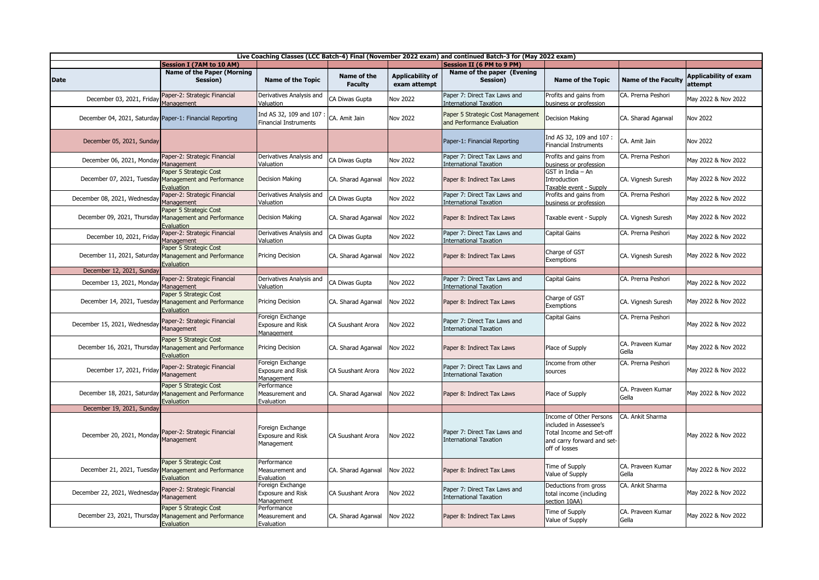| Live Coaching Classes (LCC Batch-4) Final (November 2022 exam) and continued Batch-3 for (May 2022 exam) |                                                                                                |                                                            |                               |                                         |                                                                 |                                                                                                                              |                            |                                         |  |
|----------------------------------------------------------------------------------------------------------|------------------------------------------------------------------------------------------------|------------------------------------------------------------|-------------------------------|-----------------------------------------|-----------------------------------------------------------------|------------------------------------------------------------------------------------------------------------------------------|----------------------------|-----------------------------------------|--|
|                                                                                                          | <b>Session I (7AM to 10 AM)</b>                                                                |                                                            |                               |                                         | <b>Session II (6 PM to 9 PM)</b>                                |                                                                                                                              |                            |                                         |  |
| <b>Date</b>                                                                                              | <b>Name of the Paper (Morning</b><br>Session)                                                  | <b>Name of the Topic</b>                                   | Name of the<br><b>Faculty</b> | <b>Applicability of</b><br>exam attempt | Name of the paper (Evening<br>Session)                          | <b>Name of the Topic</b>                                                                                                     | <b>Name of the Faculty</b> | <b>Applicability of exam</b><br>attempt |  |
| December 03, 2021, Friday                                                                                | Paper-2: Strategic Financial<br>Management                                                     | Derivatives Analysis and<br>Valuation                      | CA Diwas Gupta                | <b>Nov 2022</b>                         | Paper 7: Direct Tax Laws and<br><b>International Taxation</b>   | Profits and gains from<br>business or profession                                                                             | CA. Prerna Peshori         | May 2022 & Nov 2022                     |  |
| December 04, 2021, Saturday Paper-1: Financial Reporting                                                 |                                                                                                | Ind AS 32, 109 and 107<br><b>Financial Instruments</b>     | CA. Amit Jain                 | <b>Nov 2022</b>                         | Paper 5 Strategic Cost Management<br>and Performance Evaluation | <b>Decision Making</b>                                                                                                       | CA. Sharad Agarwal         | Nov 2022                                |  |
| December 05, 2021, Sunday                                                                                |                                                                                                |                                                            |                               |                                         | Paper-1: Financial Reporting                                    | Ind AS 32, 109 and 107 :<br><b>Financial Instruments</b>                                                                     | CA. Amit Jain              | <b>Nov 2022</b>                         |  |
| December 06, 2021, Monday                                                                                | Paper-2: Strategic Financial<br>Management                                                     | Derivatives Analysis and<br>/aluation                      | CA Diwas Gupta                | Nov 2022                                | Paper 7: Direct Tax Laws and<br>nternational Taxation           | Profits and gains from<br>business or profession                                                                             | CA. Prerna Peshori         | May 2022 & Nov 2022                     |  |
|                                                                                                          | Paper 5 Strategic Cost<br>December 07, 2021, Tuesday Management and Performance<br>Evaluation  | Decision Making                                            | CA. Sharad Agarwal            | <b>Nov 2022</b>                         | Paper 8: Indirect Tax Laws                                      | GST in India - An<br>Introduction<br>Taxable event - Supply                                                                  | CA. Vignesh Suresh         | May 2022 & Nov 2022                     |  |
| December 08, 2021, Wednesday                                                                             | Paper-2: Strategic Financial<br>Management                                                     | Derivatives Analysis and<br>Valuation                      | CA Diwas Gupta                | Nov 2022                                | Paper 7: Direct Tax Laws and<br>nternational Taxation           | Profits and gains from<br>business or profession                                                                             | CA. Prerna Peshori         | May 2022 & Nov 2022                     |  |
|                                                                                                          | Paper 5 Strategic Cost<br>December 09, 2021, Thursday Management and Performance<br>Evaluation | Decision Making                                            | CA. Sharad Agarwal            | <b>Nov 2022</b>                         | Paper 8: Indirect Tax Laws                                      | Taxable event - Supply                                                                                                       | CA. Vignesh Suresh         | May 2022 & Nov 2022                     |  |
| December 10, 2021, Friday                                                                                | Paper-2: Strategic Financial<br>Management                                                     | Derivatives Analysis and<br>Valuation                      | CA Diwas Gupta                | <b>Nov 2022</b>                         | Paper 7: Direct Tax Laws and<br>nternational Taxation           | Capital Gains                                                                                                                | CA. Prerna Peshori         | May 2022 & Nov 2022                     |  |
|                                                                                                          | Paper 5 Strategic Cost<br>December 11, 2021, Saturday Management and Performance<br>Evaluation | Pricing Decision                                           | CA. Sharad Agarwal            | <b>Nov 2022</b>                         | Paper 8: Indirect Tax Laws                                      | Charge of GST<br>Exemptions                                                                                                  | CA. Vignesh Suresh         | May 2022 & Nov 2022                     |  |
| December 12, 2021, Sunday                                                                                |                                                                                                |                                                            |                               |                                         |                                                                 |                                                                                                                              |                            |                                         |  |
| December 13, 2021, Monday                                                                                | Paper-2: Strategic Financial<br>Management                                                     | Derivatives Analysis and<br>Valuation                      | CA Diwas Gupta                | Nov 2022                                | Paper 7: Direct Tax Laws and<br>International Taxation          | Capital Gains                                                                                                                | CA. Prerna Peshori         | May 2022 & Nov 2022                     |  |
|                                                                                                          | Paper 5 Strategic Cost<br>December 14, 2021, Tuesday Management and Performance<br>Evaluation  | Pricing Decision                                           | CA. Sharad Agarwal            | <b>Nov 2022</b>                         | Paper 8: Indirect Tax Laws                                      | Charge of GST<br>Exemptions                                                                                                  | CA. Vignesh Suresh         | May 2022 & Nov 2022                     |  |
| December 15, 2021, Wednesday                                                                             | Paper-2: Strategic Financial<br>Management                                                     | Foreign Exchange<br>Exposure and Risk<br>Management        | <b>CA Suushant Arora</b>      | Nov 2022                                | Paper 7: Direct Tax Laws and<br><b>International Taxation</b>   | Capital Gains                                                                                                                | CA. Prerna Peshori         | May 2022 & Nov 2022                     |  |
|                                                                                                          | Paper 5 Strategic Cost<br>December 16, 2021, Thursday Management and Performance<br>Evaluation | Pricing Decision                                           | CA. Sharad Agarwal            | <b>Nov 2022</b>                         | Paper 8: Indirect Tax Laws                                      | Place of Supply                                                                                                              | CA. Praveen Kumar<br>Gella | May 2022 & Nov 2022                     |  |
| December 17, 2021, Friday                                                                                | Paper-2: Strategic Financial<br>Management                                                     | Foreign Exchange<br><b>Exposure and Risk</b><br>Management | CA Suushant Arora             | Nov 2022                                | Paper 7: Direct Tax Laws and<br><b>International Taxation</b>   | Income from other<br>sources                                                                                                 | CA. Prerna Peshori         | May 2022 & Nov 2022                     |  |
|                                                                                                          | Paper 5 Strategic Cost<br>December 18, 2021, Saturday Management and Performance<br>Evaluation | Performance<br>Measurement and<br>Evaluation               | CA. Sharad Agarwal            | <b>Nov 2022</b>                         | Paper 8: Indirect Tax Laws                                      | Place of Supply                                                                                                              | CA. Praveen Kumar<br>Gella | May 2022 & Nov 2022                     |  |
| December 19, 2021, Sunday                                                                                |                                                                                                |                                                            |                               |                                         |                                                                 |                                                                                                                              |                            |                                         |  |
| December 20, 2021, Monday                                                                                | Paper-2: Strategic Financial<br>Management                                                     | Foreign Exchange<br><b>Exposure and Risk</b><br>Management | <b>CA Suushant Arora</b>      | <b>Nov 2022</b>                         | Paper 7: Direct Tax Laws and<br><b>International Taxation</b>   | Income of Other Persons<br>included in Assessee's<br>Total Income and Set-off<br>and carry forward and set-<br>off of losses | CA. Ankit Sharma           | May 2022 & Nov 2022                     |  |
|                                                                                                          | Paper 5 Strategic Cost<br>December 21, 2021, Tuesday Management and Performance<br>Evaluation  | Performance<br>Measurement and<br>Evaluation               | CA. Sharad Agarwal            | <b>Nov 2022</b>                         | Paper 8: Indirect Tax Laws                                      | Time of Supply<br>Value of Supply                                                                                            | CA. Praveen Kumar<br>Gella | May 2022 & Nov 2022                     |  |
| December 22, 2021, Wednesday                                                                             | Paper-2: Strategic Financial<br>Management                                                     | Foreign Exchange<br><b>Exposure and Risk</b><br>Management | CA Suushant Arora             | <b>Nov 2022</b>                         | Paper 7: Direct Tax Laws and<br><b>International Taxation</b>   | Deductions from gross<br>total income (including<br>section 10AA)                                                            | CA. Ankit Sharma           | May 2022 & Nov 2022                     |  |
|                                                                                                          | Paper 5 Strategic Cost<br>December 23, 2021, Thursday Management and Performance<br>Evaluation | Performance<br>Measurement and<br>Evaluation               | CA. Sharad Agarwal            | <b>Nov 2022</b>                         | Paper 8: Indirect Tax Laws                                      | Time of Supply<br>Value of Supply                                                                                            | CA. Praveen Kumar<br>Gella | May 2022 & Nov 2022                     |  |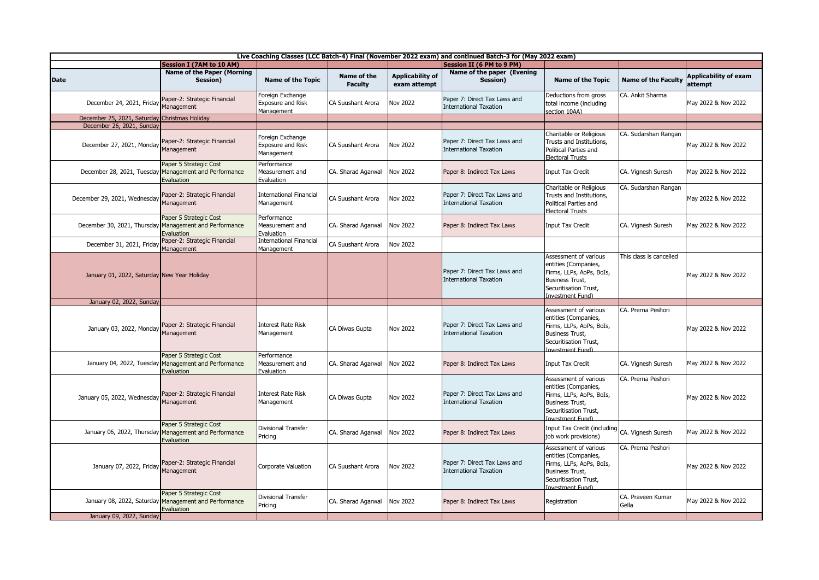| Live Coaching Classes (LCC Batch-4) Final (November 2022 exam) and continued Batch-3 for (May 2022 exam) |                                                                                                |                                                            |                               |                                  |                                                               |                                                                                                                                                  |                            |                                         |  |
|----------------------------------------------------------------------------------------------------------|------------------------------------------------------------------------------------------------|------------------------------------------------------------|-------------------------------|----------------------------------|---------------------------------------------------------------|--------------------------------------------------------------------------------------------------------------------------------------------------|----------------------------|-----------------------------------------|--|
|                                                                                                          | <b>Session I (7AM to 10 AM)</b>                                                                |                                                            |                               |                                  | Session II (6 PM to 9 PM)                                     |                                                                                                                                                  |                            |                                         |  |
| <b>Date</b>                                                                                              | <b>Name of the Paper (Morning</b><br>Session)                                                  | <b>Name of the Topic</b>                                   | Name of the<br><b>Faculty</b> | Applicability of<br>exam attempt | Name of the paper (Evening<br>Session)                        | <b>Name of the Topic</b>                                                                                                                         | <b>Name of the Faculty</b> | <b>Applicability of exam</b><br>attempt |  |
| December 24, 2021, Friday                                                                                | Paper-2: Strategic Financial<br>Management                                                     | Foreign Exchange<br>Exposure and Risk<br>Management        | <b>CA Suushant Arora</b>      | Nov 2022                         | Paper 7: Direct Tax Laws and<br><b>International Taxation</b> | Deductions from gross<br>total income (including<br>section 10AA)                                                                                | CA. Ankit Sharma           | May 2022 & Nov 2022                     |  |
| December 25, 2021, Saturday Christmas Holiday                                                            |                                                                                                |                                                            |                               |                                  |                                                               |                                                                                                                                                  |                            |                                         |  |
| December 26, 2021, Sunday                                                                                |                                                                                                |                                                            |                               |                                  |                                                               |                                                                                                                                                  |                            |                                         |  |
| December 27, 2021, Monday Paper-2: Strategic Financial<br>Management                                     |                                                                                                | Foreign Exchange<br><b>Exposure and Risk</b><br>Management | CA Suushant Arora             | Nov 2022                         | Paper 7: Direct Tax Laws and<br><b>International Taxation</b> | Charitable or Religious<br>Trusts and Institutions,<br>Political Parties and<br><b>Electoral Trusts</b>                                          | CA. Sudarshan Rangan       | May 2022 & Nov 2022                     |  |
|                                                                                                          | Paper 5 Strategic Cost<br>December 28, 2021, Tuesday Management and Performance<br>Evaluation  | Performance<br>Measurement and<br>Evaluation               | CA. Sharad Agarwal            | <b>Nov 2022</b>                  | Paper 8: Indirect Tax Laws                                    | <b>Input Tax Credit</b>                                                                                                                          | CA. Vignesh Suresh         | May 2022 & Nov 2022                     |  |
| December 29, 2021, Wednesday                                                                             | Paper-2: Strategic Financial<br>Management                                                     | International Financial<br>Management                      | CA Suushant Arora             | Nov 2022                         | Paper 7: Direct Tax Laws and<br><b>International Taxation</b> | Charitable or Religious<br>Trusts and Institutions,<br>Political Parties and<br><b>Electoral Trusts</b>                                          | CA. Sudarshan Rangan       | May 2022 & Nov 2022                     |  |
|                                                                                                          | Paper 5 Strategic Cost<br>December 30, 2021, Thursday Management and Performance<br>Evaluation | Performance<br>Measurement and<br>Evaluation               | CA. Sharad Agarwal            | <b>Nov 2022</b>                  | Paper 8: Indirect Tax Laws                                    | <b>Input Tax Credit</b>                                                                                                                          | CA. Vignesh Suresh         | May 2022 & Nov 2022                     |  |
| December 31, 2021, Friday                                                                                | Paper-2: Strategic Financial<br>Management                                                     | <b>International Financial</b><br>Management               | CA Suushant Arora             | Nov 2022                         |                                                               |                                                                                                                                                  |                            |                                         |  |
| January 01, 2022, Saturday New Year Holiday                                                              |                                                                                                |                                                            |                               |                                  | Paper 7: Direct Tax Laws and<br><b>International Taxation</b> | Assessment of various<br>entities (Companies,<br>Firms, LLPs, AoPs, BoIs,<br><b>Business Trust,</b><br>Securitisation Trust,<br>Investment Fund) | This class is cancelled    | May 2022 & Nov 2022                     |  |
| January 02, 2022, Sunday                                                                                 |                                                                                                |                                                            |                               |                                  |                                                               |                                                                                                                                                  |                            |                                         |  |
| January 03, 2022, Monday Management                                                                      | Paper-2: Strategic Financial                                                                   | Interest Rate Risk<br>Management                           | CA Diwas Gupta                | <b>Nov 2022</b>                  | Paper 7: Direct Tax Laws and<br><b>International Taxation</b> | Assessment of various<br>entities (Companies,<br>Firms, LLPs, AoPs, BoIs,<br><b>Business Trust,</b><br>Securitisation Trust,<br>(nyestment Fund) | CA. Prerna Peshori         | May 2022 & Nov 2022                     |  |
|                                                                                                          | Paper 5 Strategic Cost<br>January 04, 2022, Tuesday Management and Performance<br>Evaluation   | Performance<br>Measurement and<br>Evaluation               | CA. Sharad Agarwal            | <b>Nov 2022</b>                  | Paper 8: Indirect Tax Laws                                    | <b>Input Tax Credit</b>                                                                                                                          | CA. Vignesh Suresh         | May 2022 & Nov 2022                     |  |
| January 05, 2022, Wednesday                                                                              | Paper-2: Strategic Financial<br>Management                                                     | Interest Rate Risk<br>Management                           | CA Diwas Gupta                | Nov 2022                         | Paper 7: Direct Tax Laws and<br><b>International Taxation</b> | Assessment of various<br>entities (Companies,<br>Firms, LLPs, AoPs, BoIs,<br><b>Business Trust,</b><br>Securitisation Trust,<br>(nvestment Fund) | CA. Prerna Peshori         | May 2022 & Nov 2022                     |  |
|                                                                                                          | Paper 5 Strategic Cost<br>January 06, 2022, Thursday Management and Performance<br>Evaluation  | <b>Divisional Transfer</b><br>Pricing                      | CA. Sharad Agarwal            | <b>Nov 2022</b>                  | Paper 8: Indirect Tax Laws                                    | Input Tax Credit (including CA. Vignesh Suresh<br>job work provisions)                                                                           |                            | May 2022 & Nov 2022                     |  |
| January 07, 2022, Friday                                                                                 | Paper-2: Strategic Financial<br>Management                                                     | Corporate Valuation                                        | CA Suushant Arora             | <b>Nov 2022</b>                  | Paper 7: Direct Tax Laws and<br><b>International Taxation</b> | Assessment of various<br>entities (Companies,<br>Firms, LLPs, AoPs, BoIs,<br><b>Business Trust,</b><br>Securitisation Trust,<br>(nvestment Fund) | CA. Prerna Peshori         | May 2022 & Nov 2022                     |  |
|                                                                                                          | Paper 5 Strategic Cost<br>January 08, 2022, Saturday Management and Performance<br>Evaluation  | <b>Divisional Transfer</b><br>Pricing                      | CA. Sharad Agarwal            | <b>Nov 2022</b>                  | Paper 8: Indirect Tax Laws                                    | Registration                                                                                                                                     | CA. Praveen Kumar<br>Gella | May 2022 & Nov 2022                     |  |
| January 09, 2022, Sunday                                                                                 |                                                                                                |                                                            |                               |                                  |                                                               |                                                                                                                                                  |                            |                                         |  |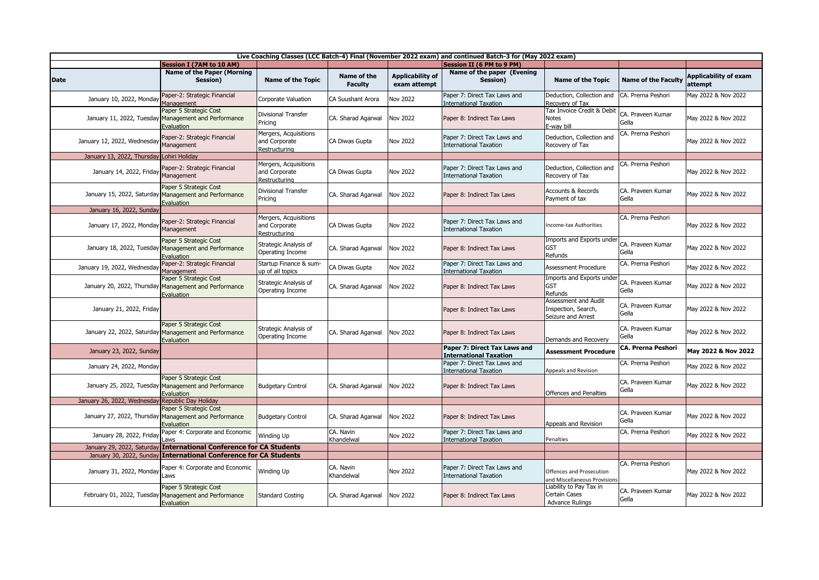| Live Coaching Classes (LCC Batch-4) Final (November 2022 exam) and continued Batch-3 for (May 2022 exam) |                                                                                               |                                                         |                               |                                  |                                                               |                                                                           |                            |                                         |  |
|----------------------------------------------------------------------------------------------------------|-----------------------------------------------------------------------------------------------|---------------------------------------------------------|-------------------------------|----------------------------------|---------------------------------------------------------------|---------------------------------------------------------------------------|----------------------------|-----------------------------------------|--|
|                                                                                                          | <b>Session I (7AM to 10 AM)</b>                                                               |                                                         |                               |                                  | <b>Session II (6 PM to 9 PM)</b>                              |                                                                           |                            |                                         |  |
| <b>Date</b>                                                                                              | <b>Name of the Paper (Morning</b><br>Session)                                                 | <b>Name of the Topic</b>                                | Name of the<br><b>Faculty</b> | Applicability of<br>exam attempt | Name of the paper (Evening<br>Session)                        | <b>Name of the Topic</b>                                                  | <b>Name of the Faculty</b> | <b>Applicability of exam</b><br>attempt |  |
| January 10, 2022, Monday                                                                                 | Paper-2: Strategic Financial<br>Management                                                    | Corporate Valuation                                     | <b>CA Suushant Arora</b>      | Nov 2022                         | Paper 7: Direct Tax Laws and<br>International Taxation        | Deduction, Collection and<br>Recovery of Tax                              | CA. Prerna Peshori         | May 2022 & Nov 2022                     |  |
|                                                                                                          | Paper 5 Strategic Cost<br>January 11, 2022, Tuesday Management and Performance<br>Evaluation  | Divisional Transfer<br>Pricing                          | CA. Sharad Agarwal            | <b>Nov 2022</b>                  | Paper 8: Indirect Tax Laws                                    | Tax Invoice Credit & Debit<br><b>Notes</b><br>E-wav bill                  | CA. Praveen Kumar<br>Gella | May 2022 & Nov 2022                     |  |
| January 12, 2022, Wednesday                                                                              | Paper-2: Strategic Financial<br>Management                                                    | Mergers, Acquisitions<br>and Corporate<br>Restructuring | CA Diwas Gupta                | <b>Nov 2022</b>                  | Paper 7: Direct Tax Laws and<br><b>International Taxation</b> | Deduction, Collection and<br>Recovery of Tax                              | CA. Prerna Peshori         | May 2022 & Nov 2022                     |  |
| January 13, 2022, Thursday                                                                               | Lohiri Holiday                                                                                |                                                         |                               |                                  |                                                               |                                                                           |                            |                                         |  |
| January 14, 2022, Friday                                                                                 | Paper-2: Strategic Financial<br>Management                                                    | Mergers, Acquisitions<br>and Corporate<br>Restructuring | CA Diwas Gupta                | <b>Nov 2022</b>                  | Paper 7: Direct Tax Laws and<br><b>International Taxation</b> | Deduction, Collection and<br>Recovery of Tax                              | CA. Prerna Peshori         | May 2022 & Nov 2022                     |  |
|                                                                                                          | Paper 5 Strategic Cost<br>January 15, 2022, Saturday Management and Performance<br>Evaluation | Divisional Transfer<br>Pricing                          | CA. Sharad Agarwal            | <b>Nov 2022</b>                  | Paper 8: Indirect Tax Laws                                    | Accounts & Records<br>Payment of tax                                      | CA. Praveen Kumar<br>Gella | May 2022 & Nov 2022                     |  |
| January 16, 2022, Sunday                                                                                 |                                                                                               |                                                         |                               |                                  |                                                               |                                                                           |                            |                                         |  |
| January 17, 2022, Monday                                                                                 | Paper-2: Strategic Financial<br>Management                                                    | Mergers, Acquisitions<br>and Corporate<br>Restructuring | CA Diwas Gupta                | <b>Nov 2022</b>                  | Paper 7: Direct Tax Laws and<br><b>International Taxation</b> | Income-tax Authorities                                                    | CA. Prerna Peshori         | May 2022 & Nov 2022                     |  |
|                                                                                                          | Paper 5 Strategic Cost<br>January 18, 2022, Tuesday Management and Performance<br>Evaluation  | Strategic Analysis of<br>Operating Income               | CA. Sharad Agarwal            | <b>Nov 2022</b>                  | Paper 8: Indirect Tax Laws                                    | Imports and Exports under<br><b>GST</b><br>Refunds                        | CA. Praveen Kumar<br>Gella | May 2022 & Nov 2022                     |  |
| January 19, 2022, Wednesday                                                                              | Paper-2: Strategic Financial<br>Management                                                    | Startup Finance & sum-<br>up of all topics              | CA Diwas Gupta                | <b>Nov 2022</b>                  | Paper 7: Direct Tax Laws and<br><b>International Taxation</b> | <b>Assessment Procedure</b>                                               | CA. Prerna Peshori         | May 2022 & Nov 2022                     |  |
|                                                                                                          | Paper 5 Strategic Cost<br>January 20, 2022, Thursday Management and Performance<br>Evaluation | Strategic Analysis of<br>Operating Income               | CA. Sharad Agarwal            | <b>Nov 2022</b>                  | Paper 8: Indirect Tax Laws                                    | Imports and Exports under<br><b>GST</b><br>Refunds                        | CA. Praveen Kumar<br>Gella | May 2022 & Nov 2022                     |  |
| January 21, 2022, Friday                                                                                 |                                                                                               |                                                         |                               |                                  | Paper 8: Indirect Tax Laws                                    | Assessment and Audit<br>Inspection, Search,<br>Seizure and Arrest         | CA. Praveen Kumar<br>Gella | May 2022 & Nov 2022                     |  |
|                                                                                                          | Paper 5 Strategic Cost<br>January 22, 2022, Saturday Management and Performance<br>Evaluation | Strategic Analysis of<br>Operating Income               | CA. Sharad Agarwal            | <b>Nov 2022</b>                  | Paper 8: Indirect Tax Laws                                    | Demands and Recovery                                                      | CA. Praveen Kumar<br>Gella | May 2022 & Nov 2022                     |  |
| January 23, 2022, Sunday                                                                                 |                                                                                               |                                                         |                               |                                  | Paper 7: Direct Tax Laws and<br><b>International Taxation</b> | <b>Assessment Procedure</b>                                               | <b>CA. Prerna Peshori</b>  | May 2022 & Nov 2022                     |  |
| January 24, 2022, Monday                                                                                 |                                                                                               |                                                         |                               |                                  | Paper 7: Direct Tax Laws and<br><b>International Taxation</b> | Appeals and Revision                                                      | CA. Prerna Peshori         | May 2022 & Nov 2022                     |  |
|                                                                                                          | Paper 5 Strategic Cost<br>January 25, 2022, Tuesday Management and Performance<br>Evaluation  | <b>Budgetary Control</b>                                | CA. Sharad Agarwal            | <b>Nov 2022</b>                  | Paper 8: Indirect Tax Laws                                    | <b>Offences and Penalties</b>                                             | CA. Praveen Kumar<br>Gella | May 2022 & Nov 2022                     |  |
| January 26, 2022, Wednesday Republic Day Holiday                                                         |                                                                                               |                                                         |                               |                                  |                                                               |                                                                           |                            |                                         |  |
|                                                                                                          | Paper 5 Strategic Cost<br>January 27, 2022, Thursday Management and Performance<br>Evaluation | <b>Budgetary Control</b>                                | CA. Sharad Agarwal            | <b>Nov 2022</b>                  | Paper 8: Indirect Tax Laws                                    | Appeals and Revision                                                      | CA. Praveen Kumar<br>Gella | May 2022 & Nov 2022                     |  |
| January 28, 2022, Friday                                                                                 | Paper 4: Corporate and Economic<br>Laws                                                       | Winding Up                                              | CA. Navin<br>Khandelwal       | Nov 2022                         | Paper 7: Direct Tax Laws and<br>international Taxation        | Penalties                                                                 | CA. Prerna Peshori         | May 2022 & Nov 2022                     |  |
|                                                                                                          | January 29, 2022, Saturday International Conference for CA Students                           |                                                         |                               |                                  |                                                               |                                                                           |                            |                                         |  |
|                                                                                                          | January 30, 2022, Sunday International Conference for CA Students                             |                                                         |                               |                                  |                                                               |                                                                           |                            |                                         |  |
| January 31, 2022, Monday                                                                                 | Paper 4: Corporate and Economic<br>Laws                                                       | Winding Up                                              | CA. Navin<br>Khandelwal       | <b>Nov 2022</b>                  | Paper 7: Direct Tax Laws and<br><b>International Taxation</b> | Offences and Prosecution<br>and Miscellaneous Provision                   | CA. Prerna Peshori         | May 2022 & Nov 2022                     |  |
|                                                                                                          | Paper 5 Strategic Cost<br>February 01, 2022, Tuesday Management and Performance<br>Evaluation | <b>Standard Costing</b>                                 | CA. Sharad Agarwal            | <b>Nov 2022</b>                  | Paper 8: Indirect Tax Laws                                    | Liability to Pay Tax in<br><b>Certain Cases</b><br><b>Advance Rulings</b> | CA. Praveen Kumar<br>Gella | May 2022 & Nov 2022                     |  |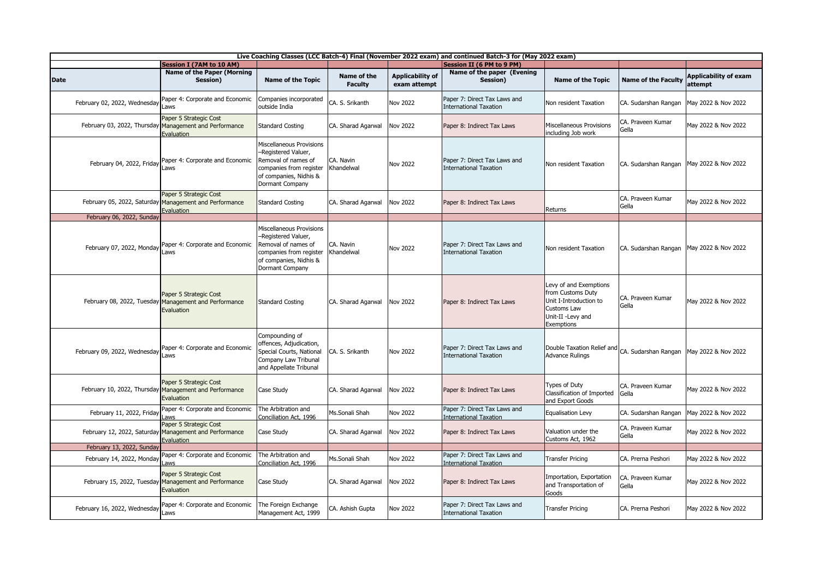| Live Coaching Classes (LCC Batch-4) Final (November 2022 exam) and continued Batch-3 for (May 2022 exam) |                                                                                                |                                                                                                                                                |                               |                                  |                                                               |                                                                                                                                |                                          |                                         |  |
|----------------------------------------------------------------------------------------------------------|------------------------------------------------------------------------------------------------|------------------------------------------------------------------------------------------------------------------------------------------------|-------------------------------|----------------------------------|---------------------------------------------------------------|--------------------------------------------------------------------------------------------------------------------------------|------------------------------------------|-----------------------------------------|--|
|                                                                                                          | <b>Session I (7AM to 10 AM)</b>                                                                |                                                                                                                                                |                               |                                  | Session II (6 PM to 9 PM)                                     |                                                                                                                                |                                          |                                         |  |
| <b>Date</b>                                                                                              | <b>Name of the Paper (Morning</b><br>Session)                                                  | <b>Name of the Topic</b>                                                                                                                       | Name of the<br><b>Faculty</b> | Applicability of<br>exam attempt | Name of the paper (Evening<br>Session)                        | <b>Name of the Topic</b>                                                                                                       | <b>Name of the Faculty</b>               | <b>Applicability of exam</b><br>attempt |  |
| February 02, 2022, Wednesday                                                                             | Paper 4: Corporate and Economic<br>Laws                                                        | Companies incorporated<br>outside India                                                                                                        | CA. S. Srikanth               | Nov 2022                         | Paper 7: Direct Tax Laws and<br><b>International Taxation</b> | Non resident Taxation                                                                                                          | CA. Sudarshan Rangan                     | May 2022 & Nov 2022                     |  |
|                                                                                                          | Paper 5 Strategic Cost<br>February 03, 2022, Thursday Management and Performance<br>Evaluation | <b>Standard Costing</b>                                                                                                                        | CA. Sharad Agarwal            | <b>Nov 2022</b>                  | Paper 8: Indirect Tax Laws                                    | Miscellaneous Provisions<br>including Job work                                                                                 | CA. Praveen Kumar<br>Gella               | May 2022 & Nov 2022                     |  |
| February 04, 2022, Friday                                                                                | Paper 4: Corporate and Economic<br>Laws                                                        | Miscellaneous Provisions<br>-Registered Valuer,<br>Removal of names of<br>companies from register<br>of companies, Nidhis &<br>Dormant Company | CA. Navin<br>Khandelwal       | <b>Nov 2022</b>                  | Paper 7: Direct Tax Laws and<br><b>International Taxation</b> | Non resident Taxation                                                                                                          | CA. Sudarshan Rangan                     | May 2022 & Nov 2022                     |  |
|                                                                                                          | Paper 5 Strategic Cost<br>February 05, 2022, Saturday Management and Performance<br>Evaluation | <b>Standard Costing</b>                                                                                                                        | CA. Sharad Agarwal            | <b>Nov 2022</b>                  | Paper 8: Indirect Tax Laws                                    | Returns                                                                                                                        | CA. Praveen Kumar<br>Gella               | May 2022 & Nov 2022                     |  |
| February 06, 2022, Sunday                                                                                |                                                                                                |                                                                                                                                                |                               |                                  |                                                               |                                                                                                                                |                                          |                                         |  |
|                                                                                                          | February 07, 2022, Monday Paper 4: Corporate and Economic<br>Laws                              | Miscellaneous Provisions<br>-Registered Valuer,<br>Removal of names of<br>companies from register<br>of companies, Nidhis &<br>Dormant Company | CA. Navin<br>Khandelwal       | Nov 2022                         | Paper 7: Direct Tax Laws and<br><b>International Taxation</b> | Non resident Taxation                                                                                                          | CA. Sudarshan Rangan May 2022 & Nov 2022 |                                         |  |
|                                                                                                          | Paper 5 Strategic Cost<br>February 08, 2022, Tuesday Management and Performance<br>Evaluation  | <b>Standard Costing</b>                                                                                                                        | CA. Sharad Agarwal            | <b>Nov 2022</b>                  | Paper 8: Indirect Tax Laws                                    | Levy of and Exemptions<br>from Customs Duty<br>Unit I-Introduction to<br><b>Customs Law</b><br>Unit-II -Levy and<br>Exemptions | CA. Praveen Kumar<br>Gella               | May 2022 & Nov 2022                     |  |
| February 09, 2022, Wednesday Laws                                                                        | Paper 4: Corporate and Economic                                                                | Compounding of<br>offences, Adjudication,<br>Special Courts, National<br>Company Law Tribunal<br>and Appellate Tribunal                        | CA. S. Srikanth               | <b>Nov 2022</b>                  | Paper 7: Direct Tax Laws and<br><b>International Taxation</b> | Double Taxation Relief and<br><b>Advance Rulings</b>                                                                           | CA. Sudarshan Rangan                     | May 2022 & Nov 2022                     |  |
|                                                                                                          | Paper 5 Strategic Cost<br>February 10, 2022, Thursday Management and Performance<br>Evaluation | Case Study                                                                                                                                     | CA. Sharad Agarwal            | <b>Nov 2022</b>                  | Paper 8: Indirect Tax Laws                                    | <b>Types of Duty</b><br>Classification of Imported<br>and Export Goods                                                         | CA. Praveen Kumar<br>Gella               | May 2022 & Nov 2022                     |  |
| February 11, 2022, Friday Laws                                                                           | Paper 4: Corporate and Economic                                                                | The Arbitration and<br>Conciliation Act, 1996                                                                                                  | Ms.Sonali Shah                | Nov 2022                         | Paper 7: Direct Tax Laws and<br><b>International Taxation</b> | Equalisation Levy                                                                                                              | CA. Sudarshan Rangan                     | May 2022 & Nov 2022                     |  |
|                                                                                                          | Paper 5 Strategic Cost<br>February 12, 2022, Saturday Management and Performance<br>Evaluation | Case Study                                                                                                                                     | CA. Sharad Agarwal            | <b>Nov 2022</b>                  | Paper 8: Indirect Tax Laws                                    | Valuation under the<br>Customs Act, 1962                                                                                       | CA. Praveen Kumar<br>Gella               | May 2022 & Nov 2022                     |  |
| February 13, 2022, Sunday                                                                                |                                                                                                |                                                                                                                                                |                               |                                  |                                                               |                                                                                                                                |                                          |                                         |  |
| February 14, 2022, Monday                                                                                | Paper 4: Corporate and Economic<br>Laws                                                        | The Arbitration and<br>Conciliation Act, 1996                                                                                                  | Ms.Sonali Shah                | <b>Nov 2022</b>                  | Paper 7: Direct Tax Laws and<br>international Taxation        | <b>Transfer Pricing</b>                                                                                                        | CA. Prerna Peshori                       | May 2022 & Nov 2022                     |  |
|                                                                                                          | Paper 5 Strategic Cost<br>February 15, 2022, Tuesday Management and Performance<br>Evaluation  | Case Study                                                                                                                                     | CA. Sharad Agarwal            | <b>Nov 2022</b>                  | Paper 8: Indirect Tax Laws                                    | Importation, Exportation<br>and Transportation of<br>Goods                                                                     | CA. Praveen Kumar<br>Gella               | May 2022 & Nov 2022                     |  |
| February 16, 2022, Wednesday                                                                             | Paper 4: Corporate and Economic<br>Laws                                                        | The Foreign Exchange<br>Management Act, 1999                                                                                                   | CA. Ashish Gupta              | <b>Nov 2022</b>                  | Paper 7: Direct Tax Laws and<br><b>International Taxation</b> | <b>Transfer Pricing</b>                                                                                                        | CA. Prerna Peshori                       | May 2022 & Nov 2022                     |  |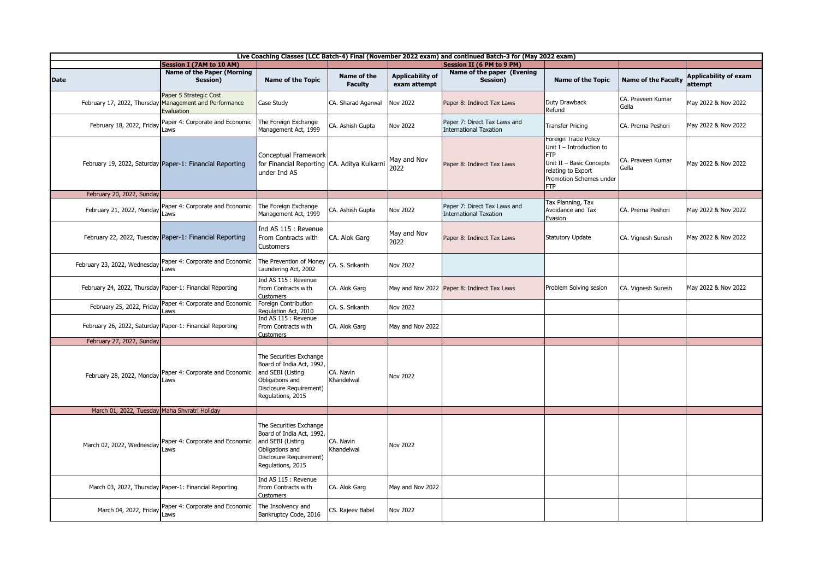| Live Coaching Classes (LCC Batch-4) Final (November 2022 exam) and continued Batch-3 for (May 2022 exam) |                                                                                                |                                                                                                                                              |                               |                                         |                                                               |                                                                                                                                                             |                            |                                         |  |  |
|----------------------------------------------------------------------------------------------------------|------------------------------------------------------------------------------------------------|----------------------------------------------------------------------------------------------------------------------------------------------|-------------------------------|-----------------------------------------|---------------------------------------------------------------|-------------------------------------------------------------------------------------------------------------------------------------------------------------|----------------------------|-----------------------------------------|--|--|
|                                                                                                          | <b>Session I (7AM to 10 AM)</b>                                                                |                                                                                                                                              |                               |                                         | <b>Session II (6 PM to 9 PM)</b>                              |                                                                                                                                                             |                            |                                         |  |  |
| <b>Date</b>                                                                                              | <b>Name of the Paper (Morning</b><br>Session)                                                  | <b>Name of the Topic</b>                                                                                                                     | Name of the<br><b>Faculty</b> | <b>Applicability of</b><br>exam attempt | Name of the paper (Evening<br>Session)                        | Name of the Topic                                                                                                                                           | <b>Name of the Faculty</b> | <b>Applicability of exam</b><br>attempt |  |  |
|                                                                                                          | Paper 5 Strategic Cost<br>February 17, 2022, Thursday Management and Performance<br>Evaluation | Case Study                                                                                                                                   | CA. Sharad Agarwal            | <b>Nov 2022</b>                         | Paper 8: Indirect Tax Laws                                    | Duty Drawback<br>Refund                                                                                                                                     | CA. Praveen Kumar<br>Gella | May 2022 & Nov 2022                     |  |  |
| February 18, 2022, Friday                                                                                | Paper 4: Corporate and Economic<br>Laws                                                        | The Foreign Exchange<br>Management Act, 1999                                                                                                 | CA. Ashish Gupta              | <b>Nov 2022</b>                         | Paper 7: Direct Tax Laws and<br><b>International Taxation</b> | <b>Transfer Pricing</b>                                                                                                                                     | CA. Prerna Peshori         | May 2022 & Nov 2022                     |  |  |
|                                                                                                          | February 19, 2022, Saturday Paper-1: Financial Reporting                                       | Conceptual Framework<br>for Financial Reporting CA. Aditya Kulkarni<br>under Ind AS                                                          |                               | May and Nov<br>2022                     | Paper 8: Indirect Tax Laws                                    | Foreign Trade Policy<br>Unit $I$ – Introduction to<br><b>FTP</b><br>Unit II - Basic Concepts<br>relating to Export<br>Promotion Schemes under<br><b>FTP</b> | CA. Praveen Kumar<br>Gella | May 2022 & Nov 2022                     |  |  |
| February 20, 2022, Sunday                                                                                |                                                                                                |                                                                                                                                              |                               |                                         |                                                               |                                                                                                                                                             |                            |                                         |  |  |
| February 21, 2022, Monday                                                                                | Paper 4: Corporate and Economic<br>Laws                                                        | The Foreign Exchange<br>Management Act, 1999                                                                                                 | CA. Ashish Gupta              | <b>Nov 2022</b>                         | Paper 7: Direct Tax Laws and<br><b>International Taxation</b> | Tax Planning, Tax<br>Avoidance and Tax<br>Evasion                                                                                                           | CA. Prerna Peshori         | May 2022 & Nov 2022                     |  |  |
|                                                                                                          | February 22, 2022, Tuesday Paper-1: Financial Reporting                                        | Ind AS 115 : Revenue<br>From Contracts with<br><b>Customers</b>                                                                              | CA. Alok Garg                 | May and Nov<br>2022                     | Paper 8: Indirect Tax Laws                                    | <b>Statutory Update</b>                                                                                                                                     | CA. Vignesh Suresh         | May 2022 & Nov 2022                     |  |  |
| February 23, 2022, Wednesday                                                                             | Paper 4: Corporate and Economic<br>Laws                                                        | The Prevention of Money<br>Laundering Act, 2002                                                                                              | CA. S. Srikanth               | <b>Nov 2022</b>                         |                                                               |                                                                                                                                                             |                            |                                         |  |  |
| February 24, 2022, Thursday Paper-1: Financial Reporting                                                 |                                                                                                | Ind AS 115 : Revenue<br>From Contracts with<br><b>Customers</b>                                                                              | CA. Alok Garg                 |                                         | May and Nov 2022 Paper 8: Indirect Tax Laws                   | Problem Solving sesion                                                                                                                                      | CA. Vignesh Suresh         | May 2022 & Nov 2022                     |  |  |
| February 25, 2022, Friday                                                                                | Paper 4: Corporate and Economic<br>Laws                                                        | Foreign Contribution<br>Regulation Act, 2010                                                                                                 | CA. S. Srikanth               | <b>Nov 2022</b>                         |                                                               |                                                                                                                                                             |                            |                                         |  |  |
|                                                                                                          | February 26, 2022, Saturday Paper-1: Financial Reporting                                       | Ind AS 115 : Revenue<br>From Contracts with<br><b>Customers</b>                                                                              | CA. Alok Garg                 | May and Nov 2022                        |                                                               |                                                                                                                                                             |                            |                                         |  |  |
| February 27, 2022, Sunday                                                                                |                                                                                                |                                                                                                                                              |                               |                                         |                                                               |                                                                                                                                                             |                            |                                         |  |  |
|                                                                                                          | February 28, 2022, Monday Paper 4: Corporate and Economic<br>Laws                              | The Securities Exchange<br>Board of India Act, 1992,<br>and SEBI (Listing<br>Obligations and<br>Disclosure Requirement)<br>Regulations, 2015 | CA. Navin<br>Khandelwal       | <b>Nov 2022</b>                         |                                                               |                                                                                                                                                             |                            |                                         |  |  |
| March 01, 2022, Tuesday Maha Shvratri Holiday                                                            |                                                                                                |                                                                                                                                              |                               |                                         |                                                               |                                                                                                                                                             |                            |                                         |  |  |
|                                                                                                          | March 02, 2022, Wednesday Paper 4: Corporate and Economic<br>Laws                              | The Securities Exchange<br>Board of India Act, 1992,<br>and SEBI (Listing<br>Obligations and<br>Disclosure Requirement)<br>Regulations, 2015 | CA. Navin<br>Khandelwal       | <b>Nov 2022</b>                         |                                                               |                                                                                                                                                             |                            |                                         |  |  |
|                                                                                                          | March 03, 2022, Thursday Paper-1: Financial Reporting                                          | Ind AS 115 : Revenue<br>From Contracts with<br><b>Customers</b>                                                                              | CA. Alok Garg                 | May and Nov 2022                        |                                                               |                                                                                                                                                             |                            |                                         |  |  |
| March 04, 2022, Friday Laws                                                                              | Paper 4: Corporate and Economic                                                                | The Insolvency and<br>Bankruptcy Code, 2016                                                                                                  | CS. Rajeev Babel              | <b>Nov 2022</b>                         |                                                               |                                                                                                                                                             |                            |                                         |  |  |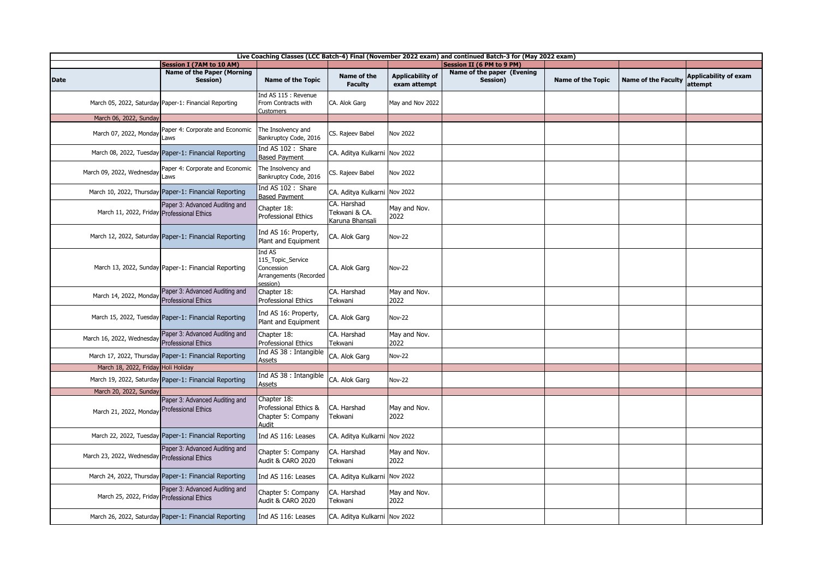|                                                                      | Live Coaching Classes (LCC Batch-4) Final (November 2022 exam) and continued Batch-3 for (May 2022 exam) |                                                                                 |                                                 |                                         |                                        |                          |                            |                                         |  |  |  |
|----------------------------------------------------------------------|----------------------------------------------------------------------------------------------------------|---------------------------------------------------------------------------------|-------------------------------------------------|-----------------------------------------|----------------------------------------|--------------------------|----------------------------|-----------------------------------------|--|--|--|
|                                                                      | <b>Session I (7AM to 10 AM)</b>                                                                          |                                                                                 |                                                 |                                         | <b>Session II (6 PM to 9 PM)</b>       |                          |                            |                                         |  |  |  |
| <b>Date</b>                                                          | <b>Name of the Paper (Morning</b><br>Session)                                                            | Name of the Topic                                                               | Name of the<br><b>Faculty</b>                   | <b>Applicability of</b><br>exam attempt | Name of the paper (Evening<br>Session) | <b>Name of the Topic</b> | <b>Name of the Faculty</b> | <b>Applicability of exam</b><br>attempt |  |  |  |
|                                                                      | March 05, 2022, Saturday Paper-1: Financial Reporting                                                    | Ind AS 115 : Revenue<br>From Contracts with<br>Customers                        | CA. Alok Garg                                   | May and Nov 2022                        |                                        |                          |                            |                                         |  |  |  |
| March 06, 2022, Sunday                                               |                                                                                                          |                                                                                 |                                                 |                                         |                                        |                          |                            |                                         |  |  |  |
| March 07, 2022, Monday                                               | Paper 4: Corporate and Economic<br>Laws                                                                  | The Insolvency and<br>Bankruptcy Code, 2016                                     | CS. Rajeev Babel                                | <b>Nov 2022</b>                         |                                        |                          |                            |                                         |  |  |  |
|                                                                      | March 08, 2022, Tuesday Paper-1: Financial Reporting                                                     | Ind AS 102 : Share<br><b>Based Pavment</b>                                      | CA. Aditya Kulkarni                             | <b>Nov 2022</b>                         |                                        |                          |                            |                                         |  |  |  |
| March 09, 2022, Wednesday                                            | Paper 4: Corporate and Economic<br>Laws                                                                  | The Insolvency and<br>Bankruptcy Code, 2016                                     | CS. Rajeev Babel                                | <b>Nov 2022</b>                         |                                        |                          |                            |                                         |  |  |  |
|                                                                      | March 10, 2022, Thursday Paper-1: Financial Reporting                                                    | Ind AS 102: Share<br><b>Based Payment</b>                                       | CA. Aditya Kulkarni                             | <b>Nov 2022</b>                         |                                        |                          |                            |                                         |  |  |  |
| March 11, 2022, Friday Professional Ethics                           | Paper 3: Advanced Auditing and                                                                           | Chapter 18:<br>Professional Ethics                                              | CA. Harshad<br>Tekwani & CA.<br>Karuna Bhansali | May and Nov.<br>2022                    |                                        |                          |                            |                                         |  |  |  |
|                                                                      | March 12, 2022, Saturday Paper-1: Financial Reporting                                                    | Ind AS 16: Property,<br>Plant and Equipment                                     | CA. Alok Garg                                   | <b>Nov-22</b>                           |                                        |                          |                            |                                         |  |  |  |
|                                                                      | March 13, 2022, Sunday Paper-1: Financial Reporting                                                      | Ind AS<br>115_Topic_Service<br>Concession<br>Arrangements (Recorded<br>session) | CA. Alok Garg                                   | <b>Nov-22</b>                           |                                        |                          |                            |                                         |  |  |  |
| March 14, 2022, Monday                                               | Paper 3: Advanced Auditing and<br><b>Professional Ethics</b>                                             | Chapter 18:<br>Professional Ethics                                              | CA. Harshad<br>Tekwani                          | May and Nov.<br>2022                    |                                        |                          |                            |                                         |  |  |  |
|                                                                      | March 15, 2022, Tuesday Paper-1: Financial Reporting                                                     | Ind AS 16: Property,<br>Plant and Equipment                                     | CA. Alok Garg                                   | <b>Nov-22</b>                           |                                        |                          |                            |                                         |  |  |  |
| March 16, 2022, Wednesday                                            | Paper 3: Advanced Auditing and<br><b>Professional Ethics</b>                                             | Chapter 18:<br>Professional Ethics                                              | CA. Harshad<br>Tekwani                          | May and Nov.<br>2022                    |                                        |                          |                            |                                         |  |  |  |
|                                                                      | March 17, 2022, Thursday Paper-1: Financial Reporting                                                    | Ind AS 38 : Intangible<br><b>Assets</b>                                         | CA. Alok Garg                                   | <b>Nov-22</b>                           |                                        |                          |                            |                                         |  |  |  |
| March 18, 2022, Friday Holi Holiday                                  |                                                                                                          | Ind AS 38 : Intangible                                                          |                                                 |                                         |                                        |                          |                            |                                         |  |  |  |
|                                                                      | March 19, 2022, Saturday Paper-1: Financial Reporting                                                    | Assets                                                                          | CA. Alok Garg                                   | <b>Nov-22</b>                           |                                        |                          |                            |                                         |  |  |  |
| March 20, 2022, Sunday<br>March 21, 2022, Monday Professional Ethics | Paper 3: Advanced Auditing and                                                                           | Chapter 18:<br>Professional Ethics &<br>Chapter 5: Company<br>Audit             | CA. Harshad<br>Tekwani                          | May and Nov.<br>2022                    |                                        |                          |                            |                                         |  |  |  |
|                                                                      | March 22, 2022, Tuesday Paper-1: Financial Reporting                                                     | Ind AS 116: Leases                                                              | CA. Aditya Kulkarni Nov 2022                    |                                         |                                        |                          |                            |                                         |  |  |  |
| March 23, 2022, Wednesday Professional Ethics                        | Paper 3: Advanced Auditing and                                                                           | Chapter 5: Company<br>Audit & CARO 2020                                         | CA. Harshad<br>Tekwani                          | May and Nov.<br>2022                    |                                        |                          |                            |                                         |  |  |  |
|                                                                      | March 24, 2022, Thursday Paper-1: Financial Reporting                                                    | Ind AS 116: Leases                                                              | CA. Aditya Kulkarni                             | <b>Nov 2022</b>                         |                                        |                          |                            |                                         |  |  |  |
| March 25, 2022, Friday Professional Ethics                           | Paper 3: Advanced Auditing and                                                                           | Chapter 5: Company<br>Audit & CARO 2020                                         | CA. Harshad<br>Tekwani                          | May and Nov.<br>2022                    |                                        |                          |                            |                                         |  |  |  |
|                                                                      | March 26, 2022, Saturday Paper-1: Financial Reporting                                                    | Ind AS 116: Leases                                                              | CA. Aditya Kulkarni Nov 2022                    |                                         |                                        |                          |                            |                                         |  |  |  |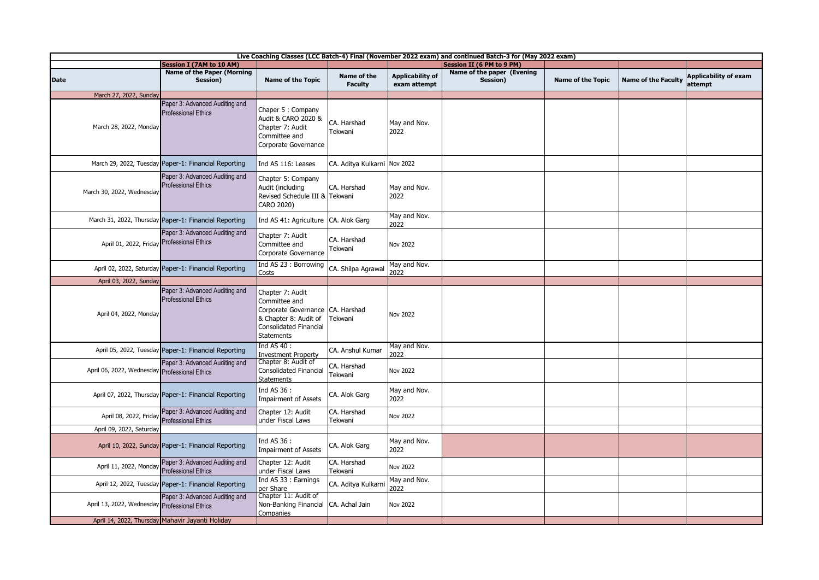| Live Coaching Classes (LCC Batch-4) Final (November 2022 exam) and continued Batch-3 for (May 2022 exam) |                                                              |                                                                                                                                                      |                               |                                         |                                        |                          |                            |                                         |  |
|----------------------------------------------------------------------------------------------------------|--------------------------------------------------------------|------------------------------------------------------------------------------------------------------------------------------------------------------|-------------------------------|-----------------------------------------|----------------------------------------|--------------------------|----------------------------|-----------------------------------------|--|
|                                                                                                          | <b>Session I (7AM to 10 AM)</b>                              |                                                                                                                                                      |                               |                                         | Session II (6 PM to 9 PM)              |                          |                            |                                         |  |
| <b>Date</b>                                                                                              | <b>Name of the Paper (Morning</b><br>Session)                | <b>Name of the Topic</b>                                                                                                                             | Name of the<br><b>Faculty</b> | <b>Applicability of</b><br>exam attempt | Name of the paper (Evening<br>Session) | <b>Name of the Topic</b> | <b>Name of the Faculty</b> | <b>Applicability of exam</b><br>attempt |  |
| March 27, 2022, Sunday                                                                                   |                                                              |                                                                                                                                                      |                               |                                         |                                        |                          |                            |                                         |  |
| March 28, 2022, Monday                                                                                   | Paper 3: Advanced Auditing and<br><b>Professional Ethics</b> | Chaper 5: Company<br>Audit & CARO 2020 &<br>Chapter 7: Audit<br>Committee and<br>Corporate Governance                                                | CA. Harshad<br>Tekwani        | May and Nov.<br>2022                    |                                        |                          |                            |                                         |  |
|                                                                                                          | March 29, 2022, Tuesday Paper-1: Financial Reporting         | Ind AS 116: Leases                                                                                                                                   | CA. Aditya Kulkarni Nov 2022  |                                         |                                        |                          |                            |                                         |  |
| March 30, 2022, Wednesday                                                                                | Paper 3: Advanced Auditing and<br><b>Professional Ethics</b> | Chapter 5: Company<br>Audit (including<br>Revised Schedule III & Tekwani<br>CARO 2020)                                                               | CA. Harshad                   | May and Nov.<br>2022                    |                                        |                          |                            |                                         |  |
|                                                                                                          | March 31, 2022, Thursday Paper-1: Financial Reporting        | Ind AS 41: Agriculture                                                                                                                               | CA. Alok Garg                 | May and Nov.<br>2022                    |                                        |                          |                            |                                         |  |
| April 01, 2022, Friday Professional Ethics                                                               | Paper 3: Advanced Auditing and                               | Chapter 7: Audit<br>Committee and<br>Corporate Governance                                                                                            | CA. Harshad<br>Tekwani        | <b>Nov 2022</b>                         |                                        |                          |                            |                                         |  |
|                                                                                                          | April 02, 2022, Saturday Paper-1: Financial Reporting        | Ind AS 23 : Borrowing<br>Costs                                                                                                                       | CA. Shilpa Agrawal            | May and Nov.<br>2022                    |                                        |                          |                            |                                         |  |
| April 03, 2022, Sunday                                                                                   |                                                              |                                                                                                                                                      |                               |                                         |                                        |                          |                            |                                         |  |
| April 04, 2022, Monday                                                                                   | Paper 3: Advanced Auditing and<br><b>Professional Ethics</b> | Chapter 7: Audit<br>Committee and<br>Corporate Governance CA. Harshad<br>& Chapter 8: Audit of<br><b>Consolidated Financial</b><br><b>Statements</b> | Tekwani                       | Nov 2022                                |                                        |                          |                            |                                         |  |
|                                                                                                          | April 05, 2022, Tuesday Paper-1: Financial Reporting         | Ind AS 40:<br><b>Investment Property</b>                                                                                                             | CA. Anshul Kumar              | May and Nov.<br>2022                    |                                        |                          |                            |                                         |  |
| April 06, 2022, Wednesday Professional Ethics                                                            | Paper 3: Advanced Auditing and                               | Chapter 8: Audit of<br>Consolidated Financial<br><b>Statements</b>                                                                                   | CA. Harshad<br>Tekwani        | <b>Nov 2022</b>                         |                                        |                          |                            |                                         |  |
|                                                                                                          | April 07, 2022, Thursday Paper-1: Financial Reporting        | Ind AS 36 :<br><b>Impairment of Assets</b>                                                                                                           | CA. Alok Garg                 | May and Nov.<br>2022                    |                                        |                          |                            |                                         |  |
| April 08, 2022, Friday                                                                                   | Paper 3: Advanced Auditing and<br><b>Professional Ethics</b> | Chapter 12: Audit<br>under Fiscal Laws                                                                                                               | CA. Harshad<br>Tekwani        | <b>Nov 2022</b>                         |                                        |                          |                            |                                         |  |
| April 09, 2022, Saturday                                                                                 |                                                              |                                                                                                                                                      |                               |                                         |                                        |                          |                            |                                         |  |
|                                                                                                          | April 10, 2022, Sunday Paper-1: Financial Reporting          | Ind AS 36 :<br><b>Impairment of Assets</b>                                                                                                           | CA. Alok Garg                 | May and Nov.<br>2022                    |                                        |                          |                            |                                         |  |
| April 11, 2022, Monday                                                                                   | Paper 3: Advanced Auditing and<br><b>Professional Ethics</b> | Chapter 12: Audit<br>under Fiscal Laws                                                                                                               | CA. Harshad<br>Tekwani        | <b>Nov 2022</b>                         |                                        |                          |                            |                                         |  |
|                                                                                                          | April 12, 2022, Tuesday Paper-1: Financial Reporting         | Ind AS 33 : Earnings<br>per Share                                                                                                                    | CA. Aditya Kulkarni           | May and Nov.<br>2022                    |                                        |                          |                            |                                         |  |
| April 13, 2022, Wednesday Professional Ethics                                                            | Paper 3: Advanced Auditing and                               | Chapter 11: Audit of<br>Non-Banking Financial<br>Companies                                                                                           | CA. Achal Jain                | <b>Nov 2022</b>                         |                                        |                          |                            |                                         |  |
|                                                                                                          | April 14, 2022, Thursday Mahavir Jayanti Holiday             |                                                                                                                                                      |                               |                                         |                                        |                          |                            |                                         |  |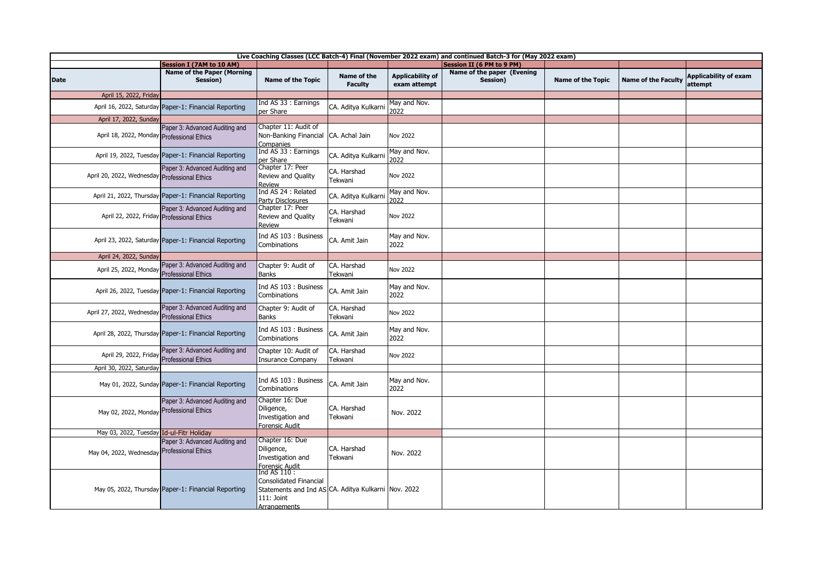| Live Coaching Classes (LCC Batch-4) Final (November 2022 exam) and continued Batch-3 for (May 2022 exam) |                                                              |                                                                                                                                    |                               |                                         |                                        |                          |                            |                                         |  |
|----------------------------------------------------------------------------------------------------------|--------------------------------------------------------------|------------------------------------------------------------------------------------------------------------------------------------|-------------------------------|-----------------------------------------|----------------------------------------|--------------------------|----------------------------|-----------------------------------------|--|
|                                                                                                          | <b>Session I (7AM to 10 AM)</b>                              |                                                                                                                                    |                               |                                         | <b>Session II (6 PM to 9 PM)</b>       |                          |                            |                                         |  |
| <b>Date</b>                                                                                              | <b>Name of the Paper (Morning</b><br>Session)                | Name of the Topic                                                                                                                  | Name of the<br><b>Faculty</b> | <b>Applicability of</b><br>exam attempt | Name of the paper (Evening<br>Session) | <b>Name of the Topic</b> | <b>Name of the Faculty</b> | <b>Applicability of exam</b><br>attempt |  |
| April 15, 2022, Friday                                                                                   |                                                              |                                                                                                                                    |                               |                                         |                                        |                          |                            |                                         |  |
|                                                                                                          | April 16, 2022, Saturday Paper-1: Financial Reporting        | Ind AS 33 : Earnings<br>per Share                                                                                                  | CA. Aditya Kulkarni           | May and Nov.<br>2022                    |                                        |                          |                            |                                         |  |
| April 17, 2022, Sunday                                                                                   |                                                              |                                                                                                                                    |                               |                                         |                                        |                          |                            |                                         |  |
| April 18, 2022, Monday Professional Ethics                                                               | Paper 3: Advanced Auditing and                               | Chapter 11: Audit of<br>Non-Banking Financial CA. Achal Jain<br>Companies                                                          |                               | <b>Nov 2022</b>                         |                                        |                          |                            |                                         |  |
|                                                                                                          | April 19, 2022, Tuesday Paper-1: Financial Reporting         | Ind AS 33 : Earnings<br>per Share                                                                                                  | CA. Aditya Kulkarni           | May and Nov.<br>2022                    |                                        |                          |                            |                                         |  |
| April 20, 2022, Wednesday Professional Ethics                                                            | Paper 3: Advanced Auditing and                               | Chapter 17: Peer<br>Review and Quality<br><b>Review</b>                                                                            | CA. Harshad<br>Tekwani        | Nov 2022                                |                                        |                          |                            |                                         |  |
|                                                                                                          | April 21, 2022, Thursday Paper-1: Financial Reporting        | Ind AS 24 : Related<br>Party Disclosures                                                                                           | CA. Aditya Kulkarni           | May and Nov.<br>2022                    |                                        |                          |                            |                                         |  |
| April 22, 2022, Friday Professional Ethics                                                               | Paper 3: Advanced Auditing and                               | Chapter 17: Peer<br>Review and Quality<br>Review                                                                                   | CA. Harshad<br>Tekwani        | Nov 2022                                |                                        |                          |                            |                                         |  |
|                                                                                                          | April 23, 2022, Saturday Paper-1: Financial Reporting        | Ind AS 103 : Business<br>Combinations                                                                                              | CA. Amit Jain                 | May and Nov.<br>2022                    |                                        |                          |                            |                                         |  |
| April 24, 2022, Sunday                                                                                   |                                                              |                                                                                                                                    |                               |                                         |                                        |                          |                            |                                         |  |
| April 25, 2022, Monday                                                                                   | Paper 3: Advanced Auditing and<br><b>Professional Ethics</b> | Chapter 9: Audit of<br><b>Banks</b>                                                                                                | CA. Harshad<br>Tekwani        | Nov 2022                                |                                        |                          |                            |                                         |  |
|                                                                                                          | April 26, 2022, Tuesday Paper-1: Financial Reporting         | Ind AS 103 : Business<br>Combinations                                                                                              | CA. Amit Jain                 | May and Nov.<br>2022                    |                                        |                          |                            |                                         |  |
| April 27, 2022, Wednesday                                                                                | Paper 3: Advanced Auditing and<br><b>Professional Ethics</b> | Chapter 9: Audit of<br><b>Banks</b>                                                                                                | CA. Harshad<br>Tekwani        | Nov 2022                                |                                        |                          |                            |                                         |  |
|                                                                                                          | April 28, 2022, Thursday Paper-1: Financial Reporting        | Ind AS 103 : Business<br>Combinations                                                                                              | CA. Amit Jain                 | May and Nov.<br>2022                    |                                        |                          |                            |                                         |  |
| April 29, 2022, Friday                                                                                   | Paper 3: Advanced Auditing and<br><b>Professional Ethics</b> | Chapter 10: Audit of<br><b>Insurance Company</b>                                                                                   | CA. Harshad<br>Tekwani        | Nov 2022                                |                                        |                          |                            |                                         |  |
| April 30, 2022, Saturday                                                                                 |                                                              |                                                                                                                                    |                               |                                         |                                        |                          |                            |                                         |  |
|                                                                                                          | May 01, 2022, Sunday Paper-1: Financial Reporting            | Ind AS 103 : Business<br>Combinations                                                                                              | CA. Amit Jain                 | May and Nov.<br>2022                    |                                        |                          |                            |                                         |  |
| May 02, 2022, Monday Professional Ethics                                                                 | Paper 3: Advanced Auditing and                               | Chapter 16: Due<br>Diligence,<br>Investigation and<br><b>Forensic Audit</b>                                                        | CA. Harshad<br>Tekwani        | Nov. 2022                               |                                        |                          |                            |                                         |  |
| May 03, 2022, Tuesday Id-ul-Fitr Holiday                                                                 |                                                              |                                                                                                                                    |                               |                                         |                                        |                          |                            |                                         |  |
| May 04, 2022, Wednesday                                                                                  | Paper 3: Advanced Auditing and<br><b>Professional Ethics</b> | Chapter 16: Due<br>Diligence,<br>Investigation and<br>Forensic Audit                                                               | CA. Harshad<br>Tekwani        | Nov. 2022                               |                                        |                          |                            |                                         |  |
|                                                                                                          | May 05, 2022, Thursday Paper-1: Financial Reporting          | Ind AS 110 :<br><b>Consolidated Financial</b><br>Statements and Ind AS CA. Aditya Kulkarni Nov. 2022<br>111: Joint<br>Arrangements |                               |                                         |                                        |                          |                            |                                         |  |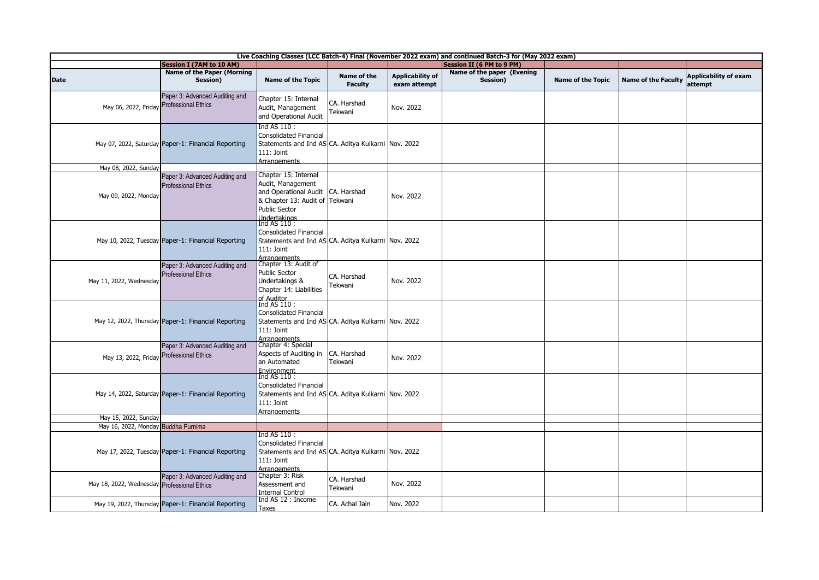| Live Coaching Classes (LCC Batch-4) Final (November 2022 exam) and continued Batch-3 for (May 2022 exam) |                                                              |                                                                                                                                                     |                               |                                         |                                        |                          |                            |                                         |  |
|----------------------------------------------------------------------------------------------------------|--------------------------------------------------------------|-----------------------------------------------------------------------------------------------------------------------------------------------------|-------------------------------|-----------------------------------------|----------------------------------------|--------------------------|----------------------------|-----------------------------------------|--|
|                                                                                                          | <b>Session I (7AM to 10 AM)</b>                              |                                                                                                                                                     |                               |                                         | <b>Session II (6 PM to 9 PM)</b>       |                          |                            |                                         |  |
| <b>Date</b>                                                                                              | <b>Name of the Paper (Morning</b><br>Session)                | <b>Name of the Topic</b>                                                                                                                            | Name of the<br><b>Faculty</b> | <b>Applicability of</b><br>exam attempt | Name of the paper (Evening<br>Session) | <b>Name of the Topic</b> | <b>Name of the Faculty</b> | <b>Applicability of exam</b><br>attempt |  |
| May 06, 2022, Friday Professional Ethics                                                                 | Paper 3: Advanced Auditing and                               | Chapter 15: Internal<br>Audit, Management<br>and Operational Audit                                                                                  | CA. Harshad<br>Tekwani        | Nov. 2022                               |                                        |                          |                            |                                         |  |
|                                                                                                          | May 07, 2022, Saturday Paper-1: Financial Reporting          | Ind AS 110 :<br>Consolidated Financial<br>Statements and Ind AS CA. Aditya Kulkarni Nov. 2022<br>111: Joint<br>Arrangements                         |                               |                                         |                                        |                          |                            |                                         |  |
| May 08, 2022, Sunday                                                                                     |                                                              |                                                                                                                                                     |                               |                                         |                                        |                          |                            |                                         |  |
| May 09, 2022, Monday                                                                                     | Paper 3: Advanced Auditing and<br><b>Professional Ethics</b> | Chapter 15: Internal<br>Audit, Management<br>and Operational Audit<br>& Chapter 13: Audit of Tekwani<br><b>Public Sector</b><br>Indertakings        | CA. Harshad                   | Nov. 2022                               |                                        |                          |                            |                                         |  |
|                                                                                                          | May 10, 2022, Tuesday Paper-1: Financial Reporting           | Ind AS 110 :<br>Consolidated Financial<br>Statements and Ind AS CA. Aditya Kulkarni Nov. 2022<br>111: Joint<br>Arrangements<br>Chapter 13: Audit of |                               |                                         |                                        |                          |                            |                                         |  |
| May 11, 2022, Wednesday                                                                                  | Paper 3: Advanced Auditing and<br><b>Professional Ethics</b> | <b>Public Sector</b><br>Undertakings &<br>Chapter 14: Liabilities<br>of Auditor<br>Ind AS 110:                                                      | CA. Harshad<br>Tekwani        | Nov. 2022                               |                                        |                          |                            |                                         |  |
|                                                                                                          | May 12, 2022, Thursday Paper-1: Financial Reporting          | Consolidated Financial<br>Statements and Ind AS CA. Aditya Kulkarni Nov. 2022<br>111: Joint<br><b>Arrangements</b>                                  |                               |                                         |                                        |                          |                            |                                         |  |
| May 13, 2022, Friday Professional Ethics                                                                 | Paper 3: Advanced Auditing and                               | Chapter 4: Special<br>Aspects of Auditing in<br>an Automated<br>Environment                                                                         | CA. Harshad<br>Tekwani        | Nov. 2022                               |                                        |                          |                            |                                         |  |
|                                                                                                          | May 14, 2022, Saturday Paper-1: Financial Reporting          | Ind AS 110 :<br>Consolidated Financial<br>Statements and Ind AS CA. Aditya Kulkarni Nov. 2022<br>$111:$ Joint<br><b>Arrangements</b>                |                               |                                         |                                        |                          |                            |                                         |  |
| May 15, 2022, Sunday                                                                                     |                                                              |                                                                                                                                                     |                               |                                         |                                        |                          |                            |                                         |  |
| May 16, 2022, Monday Buddha Purnima                                                                      |                                                              |                                                                                                                                                     |                               |                                         |                                        |                          |                            |                                         |  |
|                                                                                                          | May 17, 2022, Tuesday Paper-1: Financial Reporting           | Ind AS 110 :<br><b>Consolidated Financial</b><br>Statements and Ind AS CA. Aditya Kulkarni Nov. 2022<br>111: Joint<br>Arrangements                  |                               |                                         |                                        |                          |                            |                                         |  |
| May 18, 2022, Wednesday Professional Ethics                                                              | Paper 3: Advanced Auditing and                               | Chapter 3: Risk<br>Assessment and<br><b>Internal Control</b>                                                                                        | CA. Harshad<br>Tekwani        | Nov. 2022                               |                                        |                          |                            |                                         |  |
|                                                                                                          | May 19, 2022, Thursday Paper-1: Financial Reporting          | Ind AS 12 : Income<br>Taxes                                                                                                                         | CA. Achal Jain                | Nov. 2022                               |                                        |                          |                            |                                         |  |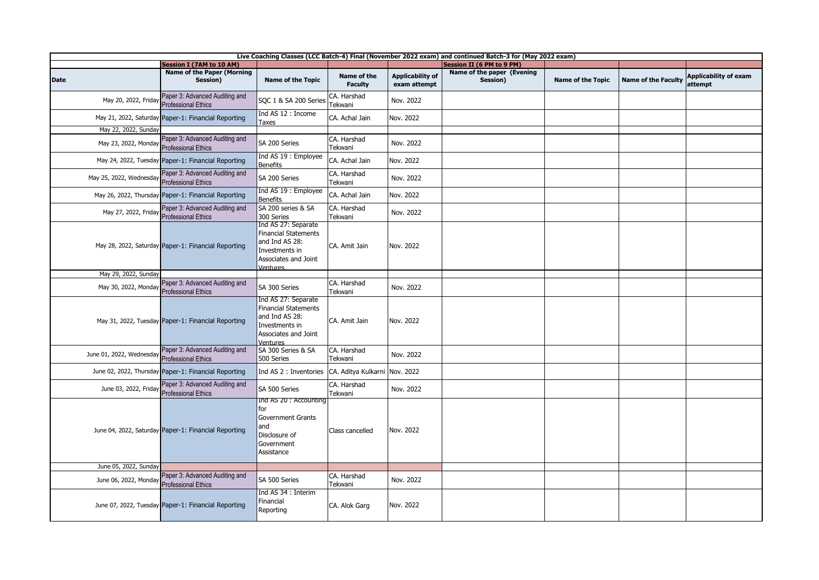| Live Coaching Classes (LCC Batch-4) Final (November 2022 exam) and continued Batch-3 for (May 2022 exam) |                                                              |                                                                                                                                   |                               |                                         |                                        |                          |                            |                                         |  |
|----------------------------------------------------------------------------------------------------------|--------------------------------------------------------------|-----------------------------------------------------------------------------------------------------------------------------------|-------------------------------|-----------------------------------------|----------------------------------------|--------------------------|----------------------------|-----------------------------------------|--|
|                                                                                                          | Session I (7AM to 10 AM)                                     |                                                                                                                                   |                               |                                         | <b>Session II (6 PM to 9 PM)</b>       |                          |                            |                                         |  |
| Date                                                                                                     | <b>Name of the Paper (Morning</b><br>Session)                | <b>Name of the Topic</b>                                                                                                          | Name of the<br><b>Faculty</b> | <b>Applicability of</b><br>exam attempt | Name of the paper (Evening<br>Session) | <b>Name of the Topic</b> | <b>Name of the Faculty</b> | <b>Applicability of exam</b><br>attempt |  |
| May 20, 2022, Friday                                                                                     | Paper 3: Advanced Auditing and<br><b>Professional Ethics</b> | SQC 1 & SA 200 Series                                                                                                             | CA. Harshad<br>Tekwani        | Nov. 2022                               |                                        |                          |                            |                                         |  |
|                                                                                                          | May 21, 2022, Saturday Paper-1: Financial Reporting          | Ind AS 12 : Income<br>Taxes                                                                                                       | CA. Achal Jain                | Nov. 2022                               |                                        |                          |                            |                                         |  |
| May 22, 2022, Sunday                                                                                     |                                                              |                                                                                                                                   |                               |                                         |                                        |                          |                            |                                         |  |
| May 23, 2022, Monday                                                                                     | Paper 3: Advanced Auditing and<br><b>Professional Ethics</b> | SA 200 Series                                                                                                                     | CA. Harshad<br>Tekwani        | Nov. 2022                               |                                        |                          |                            |                                         |  |
|                                                                                                          | May 24, 2022, Tuesday Paper-1: Financial Reporting           | Ind AS 19 : Employee<br><b>Benefits</b>                                                                                           | CA. Achal Jain                | Nov. 2022                               |                                        |                          |                            |                                         |  |
| May 25, 2022, Wednesday                                                                                  | Paper 3: Advanced Auditing and<br><b>Professional Ethics</b> | SA 200 Series                                                                                                                     | CA. Harshad<br>Tekwani        | Nov. 2022                               |                                        |                          |                            |                                         |  |
|                                                                                                          | May 26, 2022, Thursday Paper-1: Financial Reporting          | Ind AS 19 : Employee<br><b>Benefits</b>                                                                                           | CA. Achal Jain                | Nov. 2022                               |                                        |                          |                            |                                         |  |
| May 27, 2022, Friday                                                                                     | Paper 3: Advanced Auditing and<br><b>Professional Ethics</b> | SA 200 series & SA<br>300 Series                                                                                                  | CA. Harshad<br>Tekwani        | Nov. 2022                               |                                        |                          |                            |                                         |  |
|                                                                                                          | May 28, 2022, Saturday Paper-1: Financial Reporting          | Ind AS 27: Separate<br><b>Financial Statements</b><br>and Ind AS 28:<br>Investments in<br>Associates and Joint<br>Ventures        | CA. Amit Jain                 | Nov. 2022                               |                                        |                          |                            |                                         |  |
| May 29, 2022, Sunday                                                                                     |                                                              |                                                                                                                                   |                               |                                         |                                        |                          |                            |                                         |  |
| May 30, 2022, Monday                                                                                     | Paper 3: Advanced Auditing and<br><b>Professional Ethics</b> | SA 300 Series                                                                                                                     | CA. Harshad<br>Tekwani        | Nov. 2022                               |                                        |                          |                            |                                         |  |
|                                                                                                          | May 31, 2022, Tuesday Paper-1: Financial Reporting           | Ind AS 27: Separate<br><b>Financial Statements</b><br>and Ind AS 28:<br>Investments in<br>Associates and Joint<br><b>Ventures</b> | CA. Amit Jain                 | Nov. 2022                               |                                        |                          |                            |                                         |  |
| June 01, 2022, Wednesday                                                                                 | Paper 3: Advanced Auditing and<br><b>Professional Ethics</b> | SA 300 Series & SA<br>500 Series                                                                                                  | CA. Harshad<br>Tekwani        | Nov. 2022                               |                                        |                          |                            |                                         |  |
|                                                                                                          | June 02, 2022, Thursday Paper-1: Financial Reporting         | Ind AS 2 : Inventories                                                                                                            | CA. Aditya Kulkarni           | Nov. 2022                               |                                        |                          |                            |                                         |  |
| June 03, 2022, Friday                                                                                    | Paper 3: Advanced Auditing and<br><b>Professional Ethics</b> | SA 500 Series                                                                                                                     | CA. Harshad<br>Tekwani        | Nov. 2022                               |                                        |                          |                            |                                         |  |
|                                                                                                          | June 04, 2022, Saturday Paper-1: Financial Reporting         | Ind AS 20: Accounting<br>for<br><b>Government Grants</b><br>and<br>Disclosure of<br>Government<br>Assistance                      | Class cancelled               | Nov. 2022                               |                                        |                          |                            |                                         |  |
| June 05, 2022, Sunday                                                                                    |                                                              |                                                                                                                                   |                               |                                         |                                        |                          |                            |                                         |  |
| June 06, 2022, Monday                                                                                    | Paper 3: Advanced Auditing and<br><b>Professional Ethics</b> | SA 500 Series                                                                                                                     | CA. Harshad<br>Tekwani        | Nov. 2022                               |                                        |                          |                            |                                         |  |
|                                                                                                          | June 07, 2022, Tuesday Paper-1: Financial Reporting          | Ind AS 34 : Interim<br>Financial<br>Reporting                                                                                     | CA. Alok Garg                 | Nov. 2022                               |                                        |                          |                            |                                         |  |